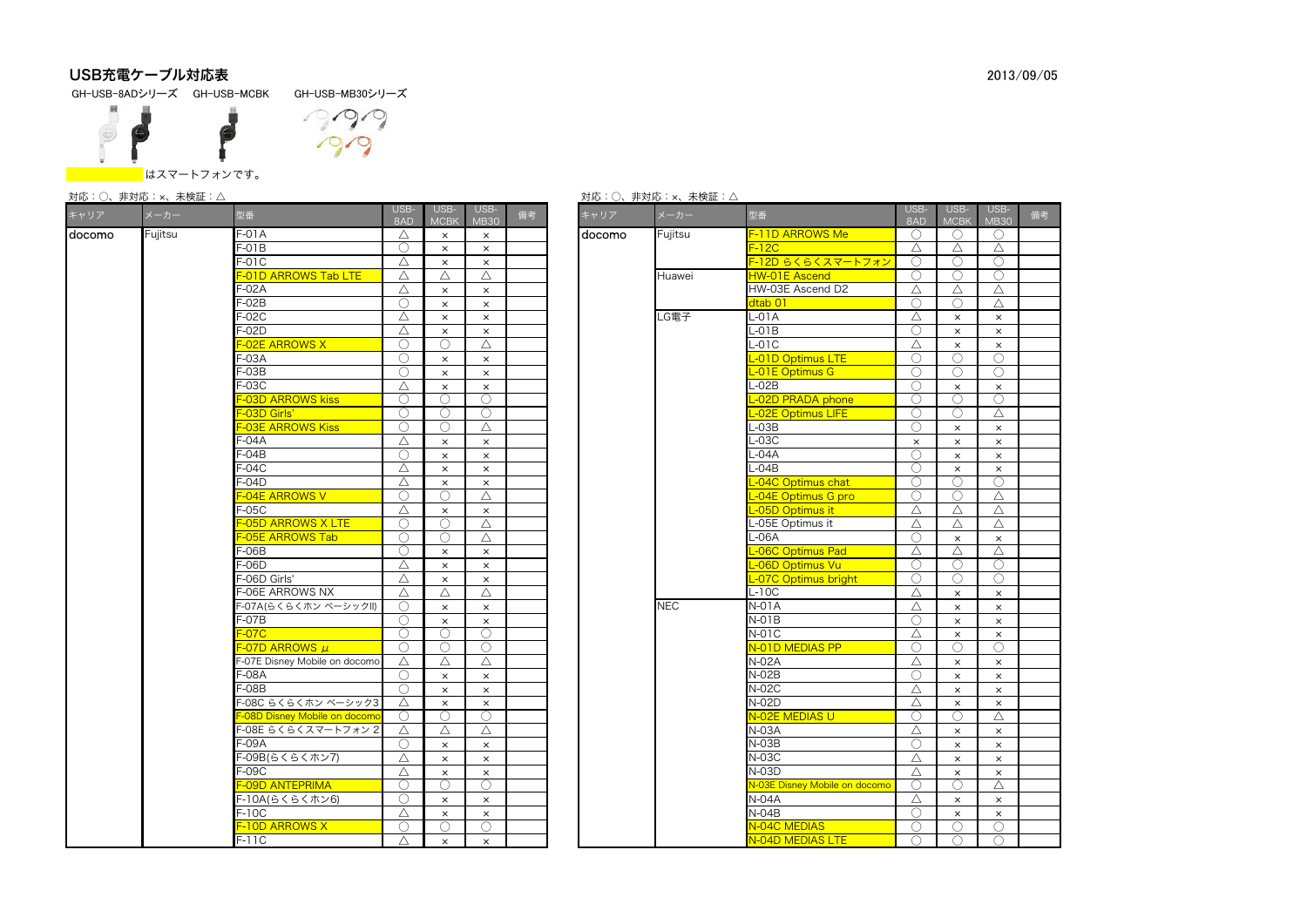# USB充電ケーブル対応表

GH-USB-8ADシリーズ GH-USB-MCBK GH-USB-MB30シリーズ



# $0.90$

#### はスマートフォンです。

| キャリア   | メーカー    | 型番                           | USB-<br>8AD | USB-<br><b>MCBK</b> | USB-<br><b>MB30</b> | 備考 |  | キャリア   | メーカー       | 型番                            | USB-<br>8AD | USB-<br><b>MCBK</b>   | <b>USE</b><br>MB3         |
|--------|---------|------------------------------|-------------|---------------------|---------------------|----|--|--------|------------|-------------------------------|-------------|-----------------------|---------------------------|
| docomo | Fujitsu | -01A                         | Δ           | $\times$            | $\times$            |    |  | docomo | Fujitsu    | F-11D ARROWS Me               | $\bigcirc$  | $\bigcirc$            | - C                       |
|        |         | $=01B$                       | О           | $\times$            | $\times$            |    |  |        |            | $F-12C$                       | Δ           | Δ                     | $\triangle$               |
|        |         | -01C                         | Δ           | $\times$            | $\times$            |    |  |        |            | F-12D らくらくスマートフォン             | ∩           |                       | C                         |
|        |         | -01D ARROWS Tab LTE          | Δ           | Δ                   | Δ                   |    |  |        | Huawei     | <b>HW-01E Ascend</b>          | ∩           | ∩                     | $\subset$                 |
|        |         | $-02A$                       | Δ           | $\times$            | $\times$            |    |  |        |            | HW-03E Ascend D2              | Δ           | Δ                     | $\triangle$               |
|        |         | $-02B$                       | O           | $\times$            | $\times$            |    |  |        |            | dtab 01                       | ∩           | $\bigcirc$            | $\triangle$               |
|        |         | $-02C$                       | Δ           | $\times$            | $\times$            |    |  |        | G電子        | L-01A                         | Δ           | $\times$              | $\boldsymbol{\times}$     |
|        |         | -02D                         | Δ           | $\times$            | $\times$            |    |  |        |            | $-01B$                        | ∩           | $\times$              | $\boldsymbol{\times}$     |
|        |         | <b>-O2E ARROWS X</b>         | O           | ∩                   | Δ                   |    |  |        |            | $-01C$                        | Δ           | $\times$              | $\times$                  |
|        |         | $= -03A$                     | ◯           | $\times$            | $\times$            |    |  |        |            | L-01D Optimus LTE             | ◯           | ◯                     | C                         |
|        |         | -03B                         | O           | $\times$            | $\times$            |    |  |        |            | L-01E Optimus G               | $\bigcirc$  | O                     | C                         |
|        |         | $-03C$                       | Δ           | $\times$            | $\times$            |    |  |        |            | $L-02B$                       | ∩           | $\times$              | $\boldsymbol{\times}$     |
|        |         | -03D ARROWS kiss             | ◯           | 0                   | $\bigcirc$          |    |  |        |            | L-02D PRADA phone             | $\bigcirc$  | ∩                     | C                         |
|        |         | -O3D Girls'                  | ∩           | ∩                   | $\bigcirc$          |    |  |        |            | -02E Optimus LIFE             | 0           | ∩                     | $\triangle$               |
|        |         | -O3E ARROWS Kiss             | ∩           | ∩                   | Δ                   |    |  |        |            | $-03B$                        | ∩           | $\times$              | $\boldsymbol{\mathsf{x}}$ |
|        |         | =-04A                        | Δ           | $\times$            | $\times$            |    |  |        |            | $-03C$                        | $\times$    | $\times$              | $\times$                  |
|        |         | $-04B$                       | C           | $\times$            | $\times$            |    |  |        |            | -04A                          | ∩           | $\times$              | $\mathsf{x}$              |
|        |         | -04C                         | Δ           | $\times$            | $\times$            |    |  |        |            | -04B                          | 0           | $\times$              | $\boldsymbol{\times}$     |
|        |         | $-04D$                       | Δ           | $\times$            | $\times$            |    |  |        |            | -04C Optimus chat             | ∩           | ∩                     | C                         |
|        |         | <b>-O4E ARROWS V</b>         | ∩           | ∩                   | Δ                   |    |  |        |            | L-04E Optimus G pro           | ◯           | ◯                     | $\triangle$               |
|        |         | $= -05C$                     | Δ           | $\times$            | $\times$            |    |  |        |            | -05D Optimus it               | Δ           | Δ                     | $\triangle$               |
|        |         | -05D ARROWS X LTE            | Ο           | ∩                   | Δ                   |    |  |        |            | L-05E Optimus it              | Δ           | Δ                     | $\triangle$               |
|        |         | -O5E ARROWS Tab              | ◯           | ∩                   | Δ                   |    |  |        |            | $L-06A$                       | ∩           | $\times$              | $\mathsf{x}$              |
|        |         | $-06B$                       | Ο           | $\times$            | $\times$            |    |  |        |            | -06C Optimus Pad              | Δ           | Δ                     | $\triangle$               |
|        |         | $-06D$                       | Δ           | $\times$            | $\times$            |    |  |        |            | L-06D Optimus Vu              | ∩           | ∩                     | C                         |
|        |         | -06D Girls'                  | Δ           | $\times$            | $\times$            |    |  |        |            | L-07C Optimus bright          | ∩           | ∩                     | C                         |
|        |         | -06E ARROWS NX               | Δ           | Δ                   | Δ                   |    |  |        |            | L-10C                         | Δ           | $\times$              | $\boldsymbol{\times}$     |
|        |         | --07A(らくらくホン ベーシックll)        | О           | $\times$            | $\times$            |    |  |        | <b>NEC</b> | <b>N-01A</b>                  | Δ           | $\times$              | $\mathsf{x}$              |
|        |         | =-07B                        | ∩           | $\times$            | $\times$            |    |  |        |            | $N-01B$                       | ∩           | $\times$              | $\boldsymbol{\times}$     |
|        |         | $-07C$                       | ∩           | ∩                   | $\bigcirc$          |    |  |        |            | $N-01C$                       | Δ           | $\times$              | $\boldsymbol{\times}$     |
|        |         | -O7D ARROWS μ                | О           | O                   | $\circ$             |    |  |        |            | N-01D MEDIAS PP               | $\bigcirc$  | $\bigcirc$            | $\mathcal{C}$             |
|        |         | -07E Disney Mobile on docomo | Δ           | Δ                   | $\triangle$         |    |  |        |            | $N-02A$                       | Δ           | $\times$              | $\boldsymbol{\times}$     |
|        |         | -08A                         | ◯           | $\times$            | $\times$            |    |  |        |            | $N-02B$                       | ∩           | $\times$              | $\boldsymbol{\mathsf{x}}$ |
|        |         | $-08B$                       | ∩           | $\times$            | $\times$            |    |  |        |            | <b>N-02C</b>                  | Δ           | $\times$              | $\mathsf{x}$              |
|        |         | -08C らくらくホン ベーシック3           | Δ           | $\times$            | $\times$            |    |  |        |            | $N-02D$                       | Δ           | $\times$              | $\mathsf{x}$              |
|        |         | -O8D Disney Mobile on docomo | O           | ∩                   | ∩                   |    |  |        |            | N-02E MEDIAS U                | ∩           | ∩                     | $\triangle$               |
|        |         | -08E らくらくスマートフォン 2           | Δ           | Δ                   | Δ                   |    |  |        |            | N-03A                         | Δ           | $\times$              | $\times$                  |
|        |         | -09A                         | O           | $\times$            | $\times$            |    |  |        |            | $N-03B$                       | 0           | $\times$              | $\boldsymbol{\times}$     |
|        |         | --09B(らくらくホン7)               | Δ           | $\times$            | $\times$            |    |  |        |            | <b>N-03C</b>                  | Δ           | $\times$              | $\boldsymbol{\times}$     |
|        |         | $= -09C$                     | Δ           | $\times$            | $\times$            |    |  |        | $N-03D$    | Δ                             | $\times$    | $\times$              |                           |
|        |         | -09D ANTEPRIMA               | O           | О                   | $\bigcirc$          |    |  |        |            | N-03E Disney Mobile on docomo | O           | $\bigcirc$            | $\triangle$               |
|        |         | --10A(らくらくホン6)               | ∩           | $\times$            | $\times$            |    |  |        | $N-04A$    | Δ                             | $\times$    | $\boldsymbol{\times}$ |                           |
|        |         | $F-10C$                      | Δ           | $\times$            | $\times$            |    |  |        | $N-04B$    | ∩                             | $\times$    | $\mathsf{x}$          |                           |
|        |         | -10D ARROWS X                | O           | ∩                   | $\bigcirc$          |    |  |        |            | N-04C MEDIAS                  | ∩           | ∩                     | -C                        |
|        |         | F-11C                        | Δ           | $\times$            | $\times$            |    |  |        |            | N-04D MEDIAS LTE              | ◯           | ◯                     | C                         |

|  |  |  | 対応:○、非対応:×、未検証:△ |
|--|--|--|------------------|
|--|--|--|------------------|

|                                    |             |                       |                     |    |        | 対応:○、非対応:×、未検証:△ |                               |             |                     |                       |    |
|------------------------------------|-------------|-----------------------|---------------------|----|--------|------------------|-------------------------------|-------------|---------------------|-----------------------|----|
| 型番                                 | USB-<br>8AD | USB-<br><b>MCBK</b>   | USB-<br><b>MB30</b> | 備考 | キャリア   | メーカー             | 型番                            | USB-<br>8AD | USB-<br><b>MCBI</b> | USB-<br><b>MB30</b>   | 備考 |
| $F-01A$                            | Δ           | $\times$              | $\times$            |    | docomo | Fujitsu          | F-11D ARROWS Me               | ∩           | ◯                   | ∩                     |    |
| F-01B                              | Ο           | $\times$              | $\times$            |    |        |                  | $F-12C$                       | Δ           | Δ                   | Δ                     |    |
| F-01C                              | Δ           | $\times$              | $\times$            |    |        |                  | F-12D らくらくスマートフォン             | ∩           | ∩                   | ∩                     |    |
| <b>F-01D ARROWS Tab LTE</b>        | Δ           | Δ                     | Δ                   |    |        | Huawei           | HW-01E Ascend                 | 0           | ◯                   | $\bigcirc$            |    |
| F-02A                              | Δ           | $\times$              | $\times$            |    |        |                  | HW-03E Ascend D2              | Δ           | Δ                   | Δ                     |    |
| F-02B                              | O           | $\times$              | $\times$            |    |        |                  | dtab 01                       | ∩           | ∩                   | Δ                     |    |
| $F-02C$                            | Δ           | $\times$              | $\times$            |    |        | LG電子             | L-01A                         | Δ           | $\times$            | $\times$              |    |
| F-02D                              | Δ           | $\times$              | $\times$            |    |        |                  | $L-01B$                       | O           | $\times$            | $\times$              |    |
| <b>F-02E ARROWS X</b>              | ∩           | ∩                     | $\triangle$         |    |        |                  | $-01C$                        | Δ           | $\times$            | $\times$              |    |
| F-03A                              | ∩           | $\times$              | $\times$            |    |        |                  | -01D Optimus LTE              | ○           | ∩                   | ∩                     |    |
| $F-03B$                            | Ο           | $\times$              | $\times$            |    |        |                  | -01E Optimus G                | ∩           | ∩                   | ∩                     |    |
| F-03C                              | Δ           | $\times$              | $\times$            |    |        |                  | L-02B                         | ◯           | $\times$            | $\times$              |    |
| <b>F-03D ARROWS kiss</b>           | ∩           | ∩                     | €                   |    |        |                  | -02D PRADA phone              | ∩           | ∩                   | ∩                     |    |
| F-03D Girls'                       | O           | O                     | O                   |    |        |                  | -02E Optimus LIFE             | O           | ◯                   | Δ                     |    |
| <b>F-03E ARROWS Kiss</b>           | ∩           | Ω                     | Δ                   |    |        |                  | $L-03B$                       | ∩           | $\times$            | $\times$              |    |
| F-04A                              | Δ           | $\boldsymbol{\times}$ | $\times$            |    |        |                  | $-03C$                        | $\times$    | $\times$            | $\boldsymbol{\times}$ |    |
| F-04B                              | ◯           | $\times$              | $\times$            |    |        |                  | -04A                          | ∩           | $\times$            | $\times$              |    |
| F-04C                              | Δ           | $\boldsymbol{\times}$ | $\times$            |    |        |                  | $-04B$                        | O           | $\times$            | $\times$              |    |
| F-04D                              | Δ           | $\times$              | $\times$            |    |        |                  | -04C Optimus chat             | ∩           | ∩                   | ∩                     |    |
| F-04E ARROWS V                     | ∩           | ∩                     | Δ                   |    |        |                  | -04E Optimus G pro            | ∩           | ∩                   | Δ                     |    |
| F-05C                              | Δ           | $\times$              | $\times$            |    |        |                  | -05D Optimus it               | Δ           | Δ                   | Δ                     |    |
| <b>F-05D ARROWS X LTE</b>          | ∩           | Ω                     | $\triangle$         |    |        |                  | -05E Optimus it               | Δ           | Δ                   | Δ                     |    |
| F-05E ARROWS Tab                   | ∩           | ∩                     | Δ                   |    |        |                  | -06A                          | ∩           | $\times$            | $\times$              |    |
| F-06B                              | ∩           | $\times$              | $\times$            |    |        |                  | -06C Optimus Pad              | Δ           | Δ                   | Δ                     |    |
| F-06D                              | Δ           | $\times$              | $\times$            |    |        |                  | -06D Optimus Vu               | ◯           | ◯                   | ∩                     |    |
| F-06D Girls'                       | Δ           | $\times$              | $\times$            |    |        |                  | -07C Optimus bright           | ∩           | ∩                   | ∩                     |    |
| F-06E ARROWS NX                    | Δ           | Δ                     | Δ                   |    |        |                  | $L-10C$                       | Δ           | $\times$            | $\times$              |    |
| F-07A(らくらくホン ベーシックII)              | Ο           | $\times$              | $\times$            |    |        | <b>NEC</b>       | $N-01A$                       | Δ           | $\times$            | $\times$              |    |
| F-07B                              | ∩           | $\times$              | $\times$            |    |        |                  | N-01B                         | ∩           | $\times$            | $\times$              |    |
| $F-07C$                            | ∩           | $\bigcirc$            | ∩                   |    |        |                  | N-01C                         | Δ           | $\times$            | $\times$              |    |
| <mark>F-07D ARROWS <i>μ</i></mark> | O           | ∩                     | O                   |    |        |                  | N-01D MEDIAS PP               | ◯           | ◯                   | ∩                     |    |
| F-07E Disney Mobile on docomo      | Δ           | Δ                     | Δ                   |    |        |                  | $N-02A$                       | Δ           | $\times$            | $\times$              |    |
| F-08A                              | ∩           | $\times$              | $\times$            |    |        |                  | N-02B                         | ∩           | $\times$            | $\times$              |    |
| F-08B                              | ∩           | $\times$              | $\times$            |    |        |                  | $N-02C$                       | Δ           | $\times$            | $\times$              |    |
| F-08C らくらくホン ベーシック3                | Δ           | $\times$              | $\times$            |    |        |                  | N-02D                         | Δ           | $\times$            | $\times$              |    |
| F-08D Disney Mobile on docomo      | ◯           | ∩                     | ∩                   |    |        |                  | N-02E MEDIAS U                | ∩           | ∩                   | Λ                     |    |
| F-08E らくらくスマートフォン 2                | Δ           | Δ                     | Δ                   |    |        |                  | N-03A                         | Δ           | $\times$            | $\times$              |    |
| F-09A                              | 0           | $\times$              | $\times$            |    |        |                  | $N-03B$                       | ◯           | $\times$            | $\times$              |    |
| F-09B(らくらくホン7)                     | Δ           | $\times$              | $\times$            |    |        |                  | N-03C                         | Δ           | $\times$            | $\times$              |    |
| F-09C                              | Δ           | $\times$              | $\times$            |    |        |                  | N-03D                         | Δ           | $\times$            | $\times$              |    |
| F-09D ANTEPRIMA                    | ∩           | ∩                     | ∩                   |    |        |                  | N-03E Disney Mobile on docomo | O           | ∩                   | Δ                     |    |
| F-10A(らくらくホン6)                     | ∩           | $\times$              | $\times$            |    |        |                  | $N-04A$                       | Δ           | $\times$            | $\times$              |    |
| F-10C                              | Δ           | $\times$              | $\times$            |    |        |                  | $N-04B$                       | O           | $\times$            | $\times$              |    |
| <b>F-10D ARROWS X</b>              | O           | ∩                     | ∩                   |    |        |                  | N-04C MEDIAS                  | ∩           | ∩                   | ∩                     |    |
| F-11C                              | Δ           | $\times$              | $\times$            |    |        |                  | N-04D MEDIAS LTE              | ◯           | ◯                   | $\bigcap$             |    |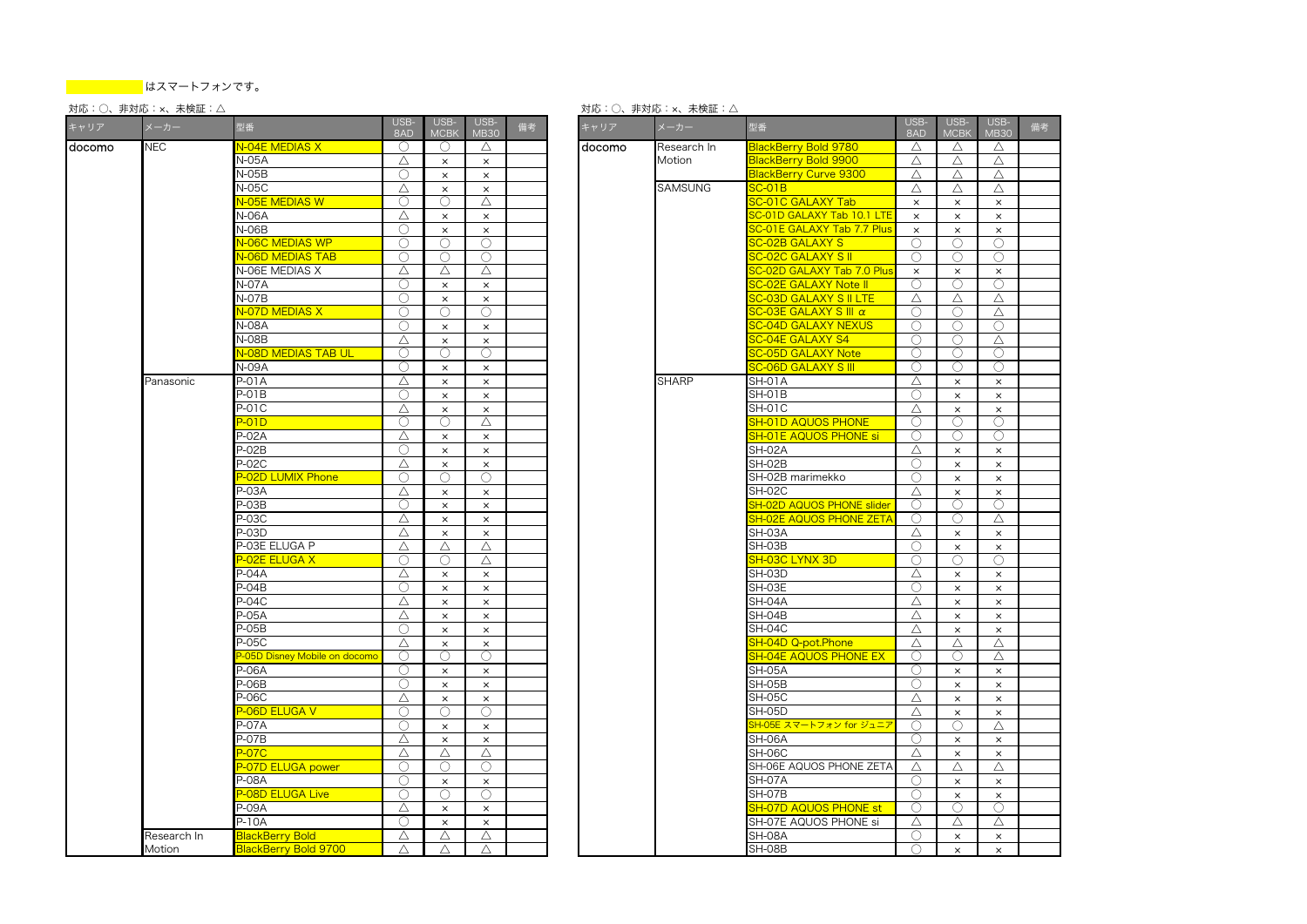#### 対応:○、非対応:×、未検証:△ 対応:○、非対応:×、未検証:△

| キャリア    | メーカー        | 型番                               | USB-<br>8AD | USB-<br><b>MCBK</b>   | USB-<br><b>MB30</b>   | 備考 | キャリア   | メーカー           | 型番                                      | USB-<br>8AD | USB-<br><b>MCBK</b> | <b>USE</b><br>MB3     |
|---------|-------------|----------------------------------|-------------|-----------------------|-----------------------|----|--------|----------------|-----------------------------------------|-------------|---------------------|-----------------------|
| ldocomo | <b>NEC</b>  | N-04E MEDIAS X                   | $\bigcirc$  | O                     | Δ                     |    | docomo | Research In    | BlackBerry Bold 9780                    | $\triangle$ | Δ                   | $\triangle$           |
|         |             | N-05A                            | Δ           | $\times$              | $\times$              |    |        | Motion         | BlackBerry Bold 9900                    | Δ           | Δ                   | $\triangle$           |
|         |             | $N-05B$                          | ∩           | $\times$              | $\times$              |    |        |                | BlackBerry Curve 9300                   | Δ           | $\triangle$         | $\triangle$           |
|         |             | N-05C                            | Δ           | $\times$              | $\times$              |    |        | <b>SAMSUNG</b> | $SC-O1B$                                | Δ           | Δ                   | $\triangle$           |
|         |             | N-05E MEDIAS W                   | ∩           | ∩                     | Δ                     |    |        |                | <b>SC-01C GALAXY Tab</b>                | $\times$    | $\times$            | $\times$              |
|         |             | N-06A                            | Δ           | $\times$              | $\times$              |    |        |                | <mark>SC-01D GALAXY Tab 10.1 LTE</mark> | $\times$    | $\times$            | $\times$              |
|         |             | N-06B                            | ∩           | $\times$              | $\times$              |    |        |                | SC-01E GALAXY Tab 7.7 Plus              | $\times$    | $\times$            | $\times$              |
|         |             | <b>V-06C MEDIAS WP</b>           | O           | Ο                     | O                     |    |        |                | <b>SC-02B GALAXY S</b>                  | Ο           | ∩                   | C                     |
|         |             | <b>V-06D MEDIAS TAB</b>          | ∩           | O                     | ∩                     |    |        |                | <b>SC-02C GALAXY S II</b>               | ◯           | ∩                   | $\bigcirc$            |
|         |             | N-06E MEDIAS X                   | Δ           | Δ                     | Δ                     |    |        |                | <b>SC-02D GALAXY Tab 7.0 Plus</b>       | $\times$    | $\times$            | $\times$              |
|         |             | <b>N-07A</b>                     | ∩           | $\times$              | $\times$              |    |        |                | <b>SC-02E GALAXY Note II</b>            | ∩           | ∩                   | $\mathbb C$           |
|         |             | $\overline{N}$ -07B              | ◯           | $\times$              | $\times$              |    |        |                | <mark>SC-03D GALAXY S II LTE</mark>     | Δ           | Δ                   | △                     |
|         |             | <b>V-07D MEDIAS X</b>            | ∩           | O                     | O                     |    |        |                | $SC-O3E$ GALAXY S III $\alpha$          | Ο           | O                   | $\triangle$           |
|         |             | N-08A                            | ∩           | $\times$              | $\times$              |    |        |                | <b>SC-04D GALAXY NEXUS</b>              | ∩           | ○                   | C                     |
|         |             | <b>N-08B</b>                     | Δ           | $\times$              | $\times$              |    |        |                | <b>SC-04E GALAXY S4</b>                 | ∩           | ∩                   | $\triangle$           |
|         |             | <mark>N-08D MEDIAS TAB UL</mark> | O           | ∩                     | 0                     |    |        |                | <b>SC-05D GALAXY Note</b>               | $\bigcirc$  | ◯                   | C                     |
|         |             | <b>N-09A</b>                     | ∩           | $\times$              | $\times$              |    |        |                | <b>SC-06D GALAXY S III</b>              | ∩           | ∩                   | C                     |
|         | Panasonic   | $P-01A$                          | Δ           | $\times$              | $\times$              |    |        | <b>SHARP</b>   | <b>SH-01A</b>                           | Δ           | $\times$            | $\times$              |
|         |             | P-01B                            | Ο           | $\times$              | $\times$              |    |        |                | <b>SH-01B</b>                           | $\bigcirc$  | $\times$            | $\times$              |
|         |             | <b>P-01C</b>                     | Δ           | $\times$              | $\times$              |    |        |                | SH-01C                                  | Δ           | $\times$            | $\times$              |
|         |             | $-01D$                           | ∩           | ∩                     | Δ                     |    |        |                | <b>SH-01D AQUOS PHONE</b>               | ∩           | Ω                   | C                     |
|         |             | P-02A                            | Δ           | $\times$              | $\times$              |    |        |                | <b>SH-01E AQUOS PHONE si</b>            | O           | O                   | C                     |
|         |             | P-02B                            | ∩           | $\boldsymbol{\times}$ | $\times$              |    |        |                | <b>SH-02A</b>                           | Δ           | $\times$            | $\times$              |
|         |             | P-02C                            | Δ           | $\times$              | $\times$              |    |        |                | SH-02B                                  | $\bigcirc$  | $\times$            | $\times$              |
|         |             | <b>P-02D LUMIX Phone</b>         | ∩           | ∩                     | ∩                     |    |        |                | SH-02B marimekko                        | ∩           | $\times$            | $\times$              |
|         |             | P-03A                            | Δ           | $\times$              | $\times$              |    |        |                | SH-02C                                  | Δ           | $\times$            | $\times$              |
|         |             | $P-03B$                          | ∩           | $\times$              | $\times$              |    |        |                | <b>SH-02D AQUOS PHONE slider</b>        | 0           | ∩                   | C                     |
|         |             | P-03C                            | Δ           | $\times$              | $\times$              |    |        |                | <mark>SH-02E AQUOS PHONE ZETA</mark>    | 0           | Ο                   | $\triangle$           |
|         |             | P-03D                            | Δ           | $\times$              | $\times$              |    |        |                | SH-03A                                  | Δ           | $\times$            | $\times$              |
|         |             | P-03E ELUGA P                    | Δ           | Δ                     | Δ                     |    |        |                | SH-03B                                  | O           | $\times$            | $\times$              |
|         |             | P-02E ELUGA X                    | ∩           | ∩                     | Δ                     |    |        |                | <b>SH-03C LYNX 3D</b>                   | 0           | ∩                   | C                     |
|         |             | $P-04A$                          | Δ           | $\times$              | $\times$              |    |        |                | SH-03D                                  | Δ           | $\times$            | $\times$              |
|         |             | P-04B                            | ∩           | $\times$              | $\times$              |    |        |                | SH-03E                                  | ∩           | $\times$            | $\times$              |
|         |             | P-04C                            | Δ           | $\boldsymbol{\times}$ | $\times$              |    |        |                | SH-04A                                  | Δ           | $\times$            | $\times$              |
|         |             | P-05A                            | Δ           | $\times$              | $\times$              |    |        |                | SH-04B                                  | Δ           | $\times$            | $\times$              |
|         |             | P-05B                            | ∩           | $\times$              | $\times$              |    |        |                | SH-04C                                  | Δ           | $\times$            | $\times$              |
|         |             | P-05C                            | Δ           | $\times$              | $\times$              |    |        |                | <b>SH-04D Q-pot.Phone</b>               | Δ           | Δ                   | $\triangle$           |
|         |             | 2-05D Disney Mobile on docomo    | O           | O                     | 0                     |    |        |                | <b>SH-04E AQUOS PHONE EX</b>            | O           | ∩                   | $\triangle$           |
|         |             | P-06A                            | Ο           | $\times$              | $\times$              |    |        |                | SH-05A                                  | Ο           | $\times$            | $\times$              |
|         |             | P-06B                            | O           | $\times$              | $\times$              |    |        |                | SH-05B                                  | Ο           | $\times$            | $\times$              |
|         |             | P-06C                            | Δ           | $\times$              | $\boldsymbol{\times}$ |    |        |                | <b>SH-05C</b>                           | Δ           | $\times$            | $\times$              |
|         |             | <mark>P-06D ELUGA V</mark>       | O           | O                     | 0                     |    |        |                | SH-05D                                  | Δ           | $\times$            | $\times$              |
|         |             | P-07A                            | ∩           | $\times$              | $\times$              |    |        |                | SH-05E スマートフォン for ジュニア                 | ∩           | ○                   | $\triangle$           |
|         |             | P-07B                            | Δ           | $\times$              | $\times$              |    |        |                | SH-06A                                  | ∩           | $\times$            | $\times$              |
|         |             | $-07C$                           | Δ           | Δ                     | $\triangle$           |    |        |                | <b>SH-06C</b>                           | Δ           | $\times$            | $\times$              |
|         |             | <b>P-07D ELUGA power</b>         | O           | О                     | О                     |    |        |                | SH-06E AQUOS PHONE ZETA                 | Δ           | Δ                   | $\triangle$           |
|         |             | P-08A                            | ∩           | $\times$              | $\times$              |    |        |                | <b>SH-07A</b>                           | $\bigcirc$  | $\times$            | $\boldsymbol{\times}$ |
|         |             | <b>P-08D ELUGA Live</b>          | O           | O                     | O                     |    |        |                | SH-07B                                  | O           | $\times$            | $\times$              |
|         |             | P-09A                            | Δ           | $\times$              | $\times$              |    |        |                | <b>SH-07D AQUOS PHONE st</b>            | 0           | ∩                   | C                     |
|         |             | P-10A                            | ∩           | $\times$              | $\times$              |    |        |                | SH-07E AQUOS PHONE si                   | Δ           | Δ                   | $\triangle$           |
|         | Research In | <b>BlackBerry Bold</b>           | Δ           | Δ                     | Δ                     |    |        |                | <b>SH-08A</b>                           | ∩           | $\times$            | $\times$              |
|         |             | BlackBerry Bold 9700             | Λ           | Δ                     | Δ                     |    |        |                | SH-08B                                  | ◯           |                     | $\times$              |
|         | Motion      |                                  |             |                       |                       |    |        |                |                                         |             | $\times$            |                       |

| BlackBerry Bold 9780<br>O<br>docomo<br>Research In<br>Δ<br>Δ<br>Δ<br>Δ<br>BlackBerry Bold 9900<br>Motion<br>Δ<br>Δ<br>Δ<br>$\times$<br>$\times$<br>Δ<br>Δ<br>Δ<br>BlackBerry Curve 9300<br>$\times$<br>$\times$<br>SAMSUNG<br>SC-01B<br>Δ<br>Δ<br>Δ<br>$\times$<br>$\times$<br><b>SC-01C GALAXY Tab</b><br>Δ<br>◯<br>$\times$<br>$\boldsymbol{\times}$<br>$\times$<br><mark>SC-01D GALAXY Tab 10.1 LTE</mark><br>$\times$<br>$\times$<br>$\times$<br>$\times$<br>$\times$<br>SC-01E GALAXY Tab 7.7 Plus<br>$\times$<br>$\times$<br>$\times$<br>$\times$<br>$\times$<br>∩<br>Ο<br>SC-02B GALAXY S<br>∩<br>∩<br>Ο<br>Ω<br>SC-02C GALAXY S II<br>∩<br>∩<br>◯<br>◯<br>SC-02D GALAXY Tab 7.0 Plus<br>Δ<br>Δ<br>$\times$<br>$\times$<br>×<br>SC-02E GALAXY Note II<br>Ō<br>Ō<br>∩<br>$\times$<br>$\times$<br><mark>SC-03D GALAXY S II LTE</mark><br>Δ<br>Δ<br>Δ<br>$\times$<br>$\times$<br>SC-03E GALAXY S III α<br>◯<br>◯<br>○<br>◯<br>Δ<br>SC-04D GALAXY NEXUS<br>∩<br>∩<br>∩<br>$\times$<br>$\times$<br>SC-04E GALAXY S4<br>∩<br>○<br>Δ<br>$\times$<br>$\times$<br>$\bigcirc$<br>∩<br>∩<br><b>SC-05D GALAXY Note</b><br>∩<br>∩<br><mark>SC-06D GALAXY S III</mark><br>∩<br>∩<br>∩<br>$\times$<br>$\times$<br><b>SHARP</b><br>SH-01A<br>$\times$<br>$\times$<br>Δ<br>×<br>$\times$<br>∩<br>SH-01B<br>$\times$<br>$\times$<br>$\times$<br>$\times$<br><b>SH-01C</b><br>Δ<br>$\times$<br>$\times$<br>$\times$<br>$\times$<br>Δ<br><b>SH-01D AQUOS PHONE</b><br>∩<br>Ο<br>∩<br>O<br>SH-01E AQUOS PHONE si<br>O<br>Ω<br>O<br>$\times$<br>$\times$<br><b>SH-02A</b><br>Δ<br>$\times$<br>$\times$<br>$\times$<br>$\times$<br>∩<br>SH-02B<br>$\times$<br>$\times$<br>$\times$<br>$\times$<br>∩<br>∩<br>SH-02B marimekko<br>∩<br>$\times$<br>$\times$<br><b>SH-02C</b><br>Δ<br>$\times$<br>$\times$<br>$\times$<br>$\times$<br>$\bigcirc$<br><b>SH-02D AQUOS PHONE slider</b><br>Ω<br>∩<br>$\times$<br>$\times$<br>SH-02E AQUOS PHONE ZETA<br>O<br>O<br>Δ<br>$\times$<br>$\times$<br>SH-03A<br>Δ<br>$\times$<br>$\times$<br>$\times$<br>×<br>SH-03B<br>∩<br>Δ<br>Δ<br>$\times$<br>$\times$<br>SH-03C LYNX 3D<br>Δ<br>O<br>○<br>O<br>0<br>SH-03D<br>Δ<br>$\times$<br>$\times$<br>$\times$<br>$\times$<br>SH-03E<br>O<br>$\times$<br>$\times$<br>$\times$<br>×<br>SH-04A<br>Δ<br>$\times$<br>$\times$<br>$\times$<br>$\times$<br>SH-04B<br>Δ<br>$\times$<br>$\times$<br>$\times$<br>$\times$<br>SH-04C<br>Δ<br>$\times$<br>$\times$<br>$\times$<br>$\times$<br>Δ<br>Δ<br>Δ<br>SH-04D Q-pot.Phone<br>$\times$<br>$\times$<br>∩<br>SH-04E AQUOS PHONE EX<br>∩<br>∩<br>∩<br>Δ<br>SH-05A<br>○<br>$\times$<br>$\times$<br>$\times$<br>$\times$<br>SH-05B<br>Ω<br>$\times$<br>×<br>$\times$<br>$\times$<br><b>SH-05C</b><br>Δ<br>$\times$<br>$\times$<br>$\times$<br>$\times$<br>O<br>Ω<br>SH-05D<br>Δ<br>$\times$<br>$\times$<br><mark>SH-05E スマートフォン for ジュニア</mark><br>∩<br>Δ<br>∩<br>$\times$<br>$\times$<br>SH-06A<br>O<br>$\times$<br>$\times$<br>$\times$<br>$\times$<br>Δ<br>Δ<br>SH-06C<br>Δ<br>$\times$<br>$\times$<br>∩<br>0<br>SH-06E AQUOS PHONE ZETA<br>Δ<br>Δ<br>Δ<br>SH-07A<br>∩<br>$\times$<br>$\times$<br>$\times$<br>$\times$<br>Ο<br>O<br>SH-07B<br>O<br>$\times$<br>$\times$<br>SH-07D AQUOS PHONE st<br>∩<br>О<br>O<br>$\times$<br>$\times$<br>SH-07E AQUOS PHONE si<br>Δ<br>Δ<br>Δ<br>$\times$<br>$\times$<br>Δ<br>Δ<br>SH-08A<br>∩<br>$\times$<br>$\times$<br>Δ<br>Δ<br>SH-08B<br>○<br>$\times$<br>$\times$ | $B -$<br>D. | USB-<br><b>MCBK</b> | USB-<br><b>MB30</b> | 備考 | キャリア | メーカー | 型番 | USB-<br>8AD | USB-<br><b>MCBK</b> | USB-<br><b>MB30</b> | 備考 |
|-----------------------------------------------------------------------------------------------------------------------------------------------------------------------------------------------------------------------------------------------------------------------------------------------------------------------------------------------------------------------------------------------------------------------------------------------------------------------------------------------------------------------------------------------------------------------------------------------------------------------------------------------------------------------------------------------------------------------------------------------------------------------------------------------------------------------------------------------------------------------------------------------------------------------------------------------------------------------------------------------------------------------------------------------------------------------------------------------------------------------------------------------------------------------------------------------------------------------------------------------------------------------------------------------------------------------------------------------------------------------------------------------------------------------------------------------------------------------------------------------------------------------------------------------------------------------------------------------------------------------------------------------------------------------------------------------------------------------------------------------------------------------------------------------------------------------------------------------------------------------------------------------------------------------------------------------------------------------------------------------------------------------------------------------------------------------------------------------------------------------------------------------------------------------------------------------------------------------------------------------------------------------------------------------------------------------------------------------------------------------------------------------------------------------------------------------------------------------------------------------------------------------------------------------------------------------------------------------------------------------------------------------------------------------------------------------------------------------------------------------------------------------------------------------------------------------------------------------------------------------------------------------------------------------------------------------------------------------------------------------------------------------------------------------------------------------------------------------------------------------------------------------------------------------------------------------------------------------------------------------------------------------------------------------------------------------------------------------------------------------------------------------------------------|-------------|---------------------|---------------------|----|------|------|----|-------------|---------------------|---------------------|----|
|                                                                                                                                                                                                                                                                                                                                                                                                                                                                                                                                                                                                                                                                                                                                                                                                                                                                                                                                                                                                                                                                                                                                                                                                                                                                                                                                                                                                                                                                                                                                                                                                                                                                                                                                                                                                                                                                                                                                                                                                                                                                                                                                                                                                                                                                                                                                                                                                                                                                                                                                                                                                                                                                                                                                                                                                                                                                                                                                                                                                                                                                                                                                                                                                                                                                                                                                                                                                                 |             |                     |                     |    |      |      |    |             |                     |                     |    |
|                                                                                                                                                                                                                                                                                                                                                                                                                                                                                                                                                                                                                                                                                                                                                                                                                                                                                                                                                                                                                                                                                                                                                                                                                                                                                                                                                                                                                                                                                                                                                                                                                                                                                                                                                                                                                                                                                                                                                                                                                                                                                                                                                                                                                                                                                                                                                                                                                                                                                                                                                                                                                                                                                                                                                                                                                                                                                                                                                                                                                                                                                                                                                                                                                                                                                                                                                                                                                 |             |                     |                     |    |      |      |    |             |                     |                     |    |
|                                                                                                                                                                                                                                                                                                                                                                                                                                                                                                                                                                                                                                                                                                                                                                                                                                                                                                                                                                                                                                                                                                                                                                                                                                                                                                                                                                                                                                                                                                                                                                                                                                                                                                                                                                                                                                                                                                                                                                                                                                                                                                                                                                                                                                                                                                                                                                                                                                                                                                                                                                                                                                                                                                                                                                                                                                                                                                                                                                                                                                                                                                                                                                                                                                                                                                                                                                                                                 |             |                     |                     |    |      |      |    |             |                     |                     |    |
|                                                                                                                                                                                                                                                                                                                                                                                                                                                                                                                                                                                                                                                                                                                                                                                                                                                                                                                                                                                                                                                                                                                                                                                                                                                                                                                                                                                                                                                                                                                                                                                                                                                                                                                                                                                                                                                                                                                                                                                                                                                                                                                                                                                                                                                                                                                                                                                                                                                                                                                                                                                                                                                                                                                                                                                                                                                                                                                                                                                                                                                                                                                                                                                                                                                                                                                                                                                                                 |             |                     |                     |    |      |      |    |             |                     |                     |    |
|                                                                                                                                                                                                                                                                                                                                                                                                                                                                                                                                                                                                                                                                                                                                                                                                                                                                                                                                                                                                                                                                                                                                                                                                                                                                                                                                                                                                                                                                                                                                                                                                                                                                                                                                                                                                                                                                                                                                                                                                                                                                                                                                                                                                                                                                                                                                                                                                                                                                                                                                                                                                                                                                                                                                                                                                                                                                                                                                                                                                                                                                                                                                                                                                                                                                                                                                                                                                                 |             |                     |                     |    |      |      |    |             |                     |                     |    |
|                                                                                                                                                                                                                                                                                                                                                                                                                                                                                                                                                                                                                                                                                                                                                                                                                                                                                                                                                                                                                                                                                                                                                                                                                                                                                                                                                                                                                                                                                                                                                                                                                                                                                                                                                                                                                                                                                                                                                                                                                                                                                                                                                                                                                                                                                                                                                                                                                                                                                                                                                                                                                                                                                                                                                                                                                                                                                                                                                                                                                                                                                                                                                                                                                                                                                                                                                                                                                 |             |                     |                     |    |      |      |    |             |                     |                     |    |
|                                                                                                                                                                                                                                                                                                                                                                                                                                                                                                                                                                                                                                                                                                                                                                                                                                                                                                                                                                                                                                                                                                                                                                                                                                                                                                                                                                                                                                                                                                                                                                                                                                                                                                                                                                                                                                                                                                                                                                                                                                                                                                                                                                                                                                                                                                                                                                                                                                                                                                                                                                                                                                                                                                                                                                                                                                                                                                                                                                                                                                                                                                                                                                                                                                                                                                                                                                                                                 |             |                     |                     |    |      |      |    |             |                     |                     |    |
|                                                                                                                                                                                                                                                                                                                                                                                                                                                                                                                                                                                                                                                                                                                                                                                                                                                                                                                                                                                                                                                                                                                                                                                                                                                                                                                                                                                                                                                                                                                                                                                                                                                                                                                                                                                                                                                                                                                                                                                                                                                                                                                                                                                                                                                                                                                                                                                                                                                                                                                                                                                                                                                                                                                                                                                                                                                                                                                                                                                                                                                                                                                                                                                                                                                                                                                                                                                                                 |             |                     |                     |    |      |      |    |             |                     |                     |    |
|                                                                                                                                                                                                                                                                                                                                                                                                                                                                                                                                                                                                                                                                                                                                                                                                                                                                                                                                                                                                                                                                                                                                                                                                                                                                                                                                                                                                                                                                                                                                                                                                                                                                                                                                                                                                                                                                                                                                                                                                                                                                                                                                                                                                                                                                                                                                                                                                                                                                                                                                                                                                                                                                                                                                                                                                                                                                                                                                                                                                                                                                                                                                                                                                                                                                                                                                                                                                                 |             |                     |                     |    |      |      |    |             |                     |                     |    |
|                                                                                                                                                                                                                                                                                                                                                                                                                                                                                                                                                                                                                                                                                                                                                                                                                                                                                                                                                                                                                                                                                                                                                                                                                                                                                                                                                                                                                                                                                                                                                                                                                                                                                                                                                                                                                                                                                                                                                                                                                                                                                                                                                                                                                                                                                                                                                                                                                                                                                                                                                                                                                                                                                                                                                                                                                                                                                                                                                                                                                                                                                                                                                                                                                                                                                                                                                                                                                 |             |                     |                     |    |      |      |    |             |                     |                     |    |
|                                                                                                                                                                                                                                                                                                                                                                                                                                                                                                                                                                                                                                                                                                                                                                                                                                                                                                                                                                                                                                                                                                                                                                                                                                                                                                                                                                                                                                                                                                                                                                                                                                                                                                                                                                                                                                                                                                                                                                                                                                                                                                                                                                                                                                                                                                                                                                                                                                                                                                                                                                                                                                                                                                                                                                                                                                                                                                                                                                                                                                                                                                                                                                                                                                                                                                                                                                                                                 |             |                     |                     |    |      |      |    |             |                     |                     |    |
|                                                                                                                                                                                                                                                                                                                                                                                                                                                                                                                                                                                                                                                                                                                                                                                                                                                                                                                                                                                                                                                                                                                                                                                                                                                                                                                                                                                                                                                                                                                                                                                                                                                                                                                                                                                                                                                                                                                                                                                                                                                                                                                                                                                                                                                                                                                                                                                                                                                                                                                                                                                                                                                                                                                                                                                                                                                                                                                                                                                                                                                                                                                                                                                                                                                                                                                                                                                                                 |             |                     |                     |    |      |      |    |             |                     |                     |    |
|                                                                                                                                                                                                                                                                                                                                                                                                                                                                                                                                                                                                                                                                                                                                                                                                                                                                                                                                                                                                                                                                                                                                                                                                                                                                                                                                                                                                                                                                                                                                                                                                                                                                                                                                                                                                                                                                                                                                                                                                                                                                                                                                                                                                                                                                                                                                                                                                                                                                                                                                                                                                                                                                                                                                                                                                                                                                                                                                                                                                                                                                                                                                                                                                                                                                                                                                                                                                                 |             |                     |                     |    |      |      |    |             |                     |                     |    |
|                                                                                                                                                                                                                                                                                                                                                                                                                                                                                                                                                                                                                                                                                                                                                                                                                                                                                                                                                                                                                                                                                                                                                                                                                                                                                                                                                                                                                                                                                                                                                                                                                                                                                                                                                                                                                                                                                                                                                                                                                                                                                                                                                                                                                                                                                                                                                                                                                                                                                                                                                                                                                                                                                                                                                                                                                                                                                                                                                                                                                                                                                                                                                                                                                                                                                                                                                                                                                 |             |                     |                     |    |      |      |    |             |                     |                     |    |
|                                                                                                                                                                                                                                                                                                                                                                                                                                                                                                                                                                                                                                                                                                                                                                                                                                                                                                                                                                                                                                                                                                                                                                                                                                                                                                                                                                                                                                                                                                                                                                                                                                                                                                                                                                                                                                                                                                                                                                                                                                                                                                                                                                                                                                                                                                                                                                                                                                                                                                                                                                                                                                                                                                                                                                                                                                                                                                                                                                                                                                                                                                                                                                                                                                                                                                                                                                                                                 |             |                     |                     |    |      |      |    |             |                     |                     |    |
|                                                                                                                                                                                                                                                                                                                                                                                                                                                                                                                                                                                                                                                                                                                                                                                                                                                                                                                                                                                                                                                                                                                                                                                                                                                                                                                                                                                                                                                                                                                                                                                                                                                                                                                                                                                                                                                                                                                                                                                                                                                                                                                                                                                                                                                                                                                                                                                                                                                                                                                                                                                                                                                                                                                                                                                                                                                                                                                                                                                                                                                                                                                                                                                                                                                                                                                                                                                                                 |             |                     |                     |    |      |      |    |             |                     |                     |    |
|                                                                                                                                                                                                                                                                                                                                                                                                                                                                                                                                                                                                                                                                                                                                                                                                                                                                                                                                                                                                                                                                                                                                                                                                                                                                                                                                                                                                                                                                                                                                                                                                                                                                                                                                                                                                                                                                                                                                                                                                                                                                                                                                                                                                                                                                                                                                                                                                                                                                                                                                                                                                                                                                                                                                                                                                                                                                                                                                                                                                                                                                                                                                                                                                                                                                                                                                                                                                                 |             |                     |                     |    |      |      |    |             |                     |                     |    |
|                                                                                                                                                                                                                                                                                                                                                                                                                                                                                                                                                                                                                                                                                                                                                                                                                                                                                                                                                                                                                                                                                                                                                                                                                                                                                                                                                                                                                                                                                                                                                                                                                                                                                                                                                                                                                                                                                                                                                                                                                                                                                                                                                                                                                                                                                                                                                                                                                                                                                                                                                                                                                                                                                                                                                                                                                                                                                                                                                                                                                                                                                                                                                                                                                                                                                                                                                                                                                 |             |                     |                     |    |      |      |    |             |                     |                     |    |
|                                                                                                                                                                                                                                                                                                                                                                                                                                                                                                                                                                                                                                                                                                                                                                                                                                                                                                                                                                                                                                                                                                                                                                                                                                                                                                                                                                                                                                                                                                                                                                                                                                                                                                                                                                                                                                                                                                                                                                                                                                                                                                                                                                                                                                                                                                                                                                                                                                                                                                                                                                                                                                                                                                                                                                                                                                                                                                                                                                                                                                                                                                                                                                                                                                                                                                                                                                                                                 |             |                     |                     |    |      |      |    |             |                     |                     |    |
|                                                                                                                                                                                                                                                                                                                                                                                                                                                                                                                                                                                                                                                                                                                                                                                                                                                                                                                                                                                                                                                                                                                                                                                                                                                                                                                                                                                                                                                                                                                                                                                                                                                                                                                                                                                                                                                                                                                                                                                                                                                                                                                                                                                                                                                                                                                                                                                                                                                                                                                                                                                                                                                                                                                                                                                                                                                                                                                                                                                                                                                                                                                                                                                                                                                                                                                                                                                                                 |             |                     |                     |    |      |      |    |             |                     |                     |    |
|                                                                                                                                                                                                                                                                                                                                                                                                                                                                                                                                                                                                                                                                                                                                                                                                                                                                                                                                                                                                                                                                                                                                                                                                                                                                                                                                                                                                                                                                                                                                                                                                                                                                                                                                                                                                                                                                                                                                                                                                                                                                                                                                                                                                                                                                                                                                                                                                                                                                                                                                                                                                                                                                                                                                                                                                                                                                                                                                                                                                                                                                                                                                                                                                                                                                                                                                                                                                                 |             |                     |                     |    |      |      |    |             |                     |                     |    |
|                                                                                                                                                                                                                                                                                                                                                                                                                                                                                                                                                                                                                                                                                                                                                                                                                                                                                                                                                                                                                                                                                                                                                                                                                                                                                                                                                                                                                                                                                                                                                                                                                                                                                                                                                                                                                                                                                                                                                                                                                                                                                                                                                                                                                                                                                                                                                                                                                                                                                                                                                                                                                                                                                                                                                                                                                                                                                                                                                                                                                                                                                                                                                                                                                                                                                                                                                                                                                 |             |                     |                     |    |      |      |    |             |                     |                     |    |
|                                                                                                                                                                                                                                                                                                                                                                                                                                                                                                                                                                                                                                                                                                                                                                                                                                                                                                                                                                                                                                                                                                                                                                                                                                                                                                                                                                                                                                                                                                                                                                                                                                                                                                                                                                                                                                                                                                                                                                                                                                                                                                                                                                                                                                                                                                                                                                                                                                                                                                                                                                                                                                                                                                                                                                                                                                                                                                                                                                                                                                                                                                                                                                                                                                                                                                                                                                                                                 |             |                     |                     |    |      |      |    |             |                     |                     |    |
|                                                                                                                                                                                                                                                                                                                                                                                                                                                                                                                                                                                                                                                                                                                                                                                                                                                                                                                                                                                                                                                                                                                                                                                                                                                                                                                                                                                                                                                                                                                                                                                                                                                                                                                                                                                                                                                                                                                                                                                                                                                                                                                                                                                                                                                                                                                                                                                                                                                                                                                                                                                                                                                                                                                                                                                                                                                                                                                                                                                                                                                                                                                                                                                                                                                                                                                                                                                                                 |             |                     |                     |    |      |      |    |             |                     |                     |    |
|                                                                                                                                                                                                                                                                                                                                                                                                                                                                                                                                                                                                                                                                                                                                                                                                                                                                                                                                                                                                                                                                                                                                                                                                                                                                                                                                                                                                                                                                                                                                                                                                                                                                                                                                                                                                                                                                                                                                                                                                                                                                                                                                                                                                                                                                                                                                                                                                                                                                                                                                                                                                                                                                                                                                                                                                                                                                                                                                                                                                                                                                                                                                                                                                                                                                                                                                                                                                                 |             |                     |                     |    |      |      |    |             |                     |                     |    |
|                                                                                                                                                                                                                                                                                                                                                                                                                                                                                                                                                                                                                                                                                                                                                                                                                                                                                                                                                                                                                                                                                                                                                                                                                                                                                                                                                                                                                                                                                                                                                                                                                                                                                                                                                                                                                                                                                                                                                                                                                                                                                                                                                                                                                                                                                                                                                                                                                                                                                                                                                                                                                                                                                                                                                                                                                                                                                                                                                                                                                                                                                                                                                                                                                                                                                                                                                                                                                 |             |                     |                     |    |      |      |    |             |                     |                     |    |
|                                                                                                                                                                                                                                                                                                                                                                                                                                                                                                                                                                                                                                                                                                                                                                                                                                                                                                                                                                                                                                                                                                                                                                                                                                                                                                                                                                                                                                                                                                                                                                                                                                                                                                                                                                                                                                                                                                                                                                                                                                                                                                                                                                                                                                                                                                                                                                                                                                                                                                                                                                                                                                                                                                                                                                                                                                                                                                                                                                                                                                                                                                                                                                                                                                                                                                                                                                                                                 |             |                     |                     |    |      |      |    |             |                     |                     |    |
|                                                                                                                                                                                                                                                                                                                                                                                                                                                                                                                                                                                                                                                                                                                                                                                                                                                                                                                                                                                                                                                                                                                                                                                                                                                                                                                                                                                                                                                                                                                                                                                                                                                                                                                                                                                                                                                                                                                                                                                                                                                                                                                                                                                                                                                                                                                                                                                                                                                                                                                                                                                                                                                                                                                                                                                                                                                                                                                                                                                                                                                                                                                                                                                                                                                                                                                                                                                                                 |             |                     |                     |    |      |      |    |             |                     |                     |    |
|                                                                                                                                                                                                                                                                                                                                                                                                                                                                                                                                                                                                                                                                                                                                                                                                                                                                                                                                                                                                                                                                                                                                                                                                                                                                                                                                                                                                                                                                                                                                                                                                                                                                                                                                                                                                                                                                                                                                                                                                                                                                                                                                                                                                                                                                                                                                                                                                                                                                                                                                                                                                                                                                                                                                                                                                                                                                                                                                                                                                                                                                                                                                                                                                                                                                                                                                                                                                                 |             |                     |                     |    |      |      |    |             |                     |                     |    |
|                                                                                                                                                                                                                                                                                                                                                                                                                                                                                                                                                                                                                                                                                                                                                                                                                                                                                                                                                                                                                                                                                                                                                                                                                                                                                                                                                                                                                                                                                                                                                                                                                                                                                                                                                                                                                                                                                                                                                                                                                                                                                                                                                                                                                                                                                                                                                                                                                                                                                                                                                                                                                                                                                                                                                                                                                                                                                                                                                                                                                                                                                                                                                                                                                                                                                                                                                                                                                 |             |                     |                     |    |      |      |    |             |                     |                     |    |
|                                                                                                                                                                                                                                                                                                                                                                                                                                                                                                                                                                                                                                                                                                                                                                                                                                                                                                                                                                                                                                                                                                                                                                                                                                                                                                                                                                                                                                                                                                                                                                                                                                                                                                                                                                                                                                                                                                                                                                                                                                                                                                                                                                                                                                                                                                                                                                                                                                                                                                                                                                                                                                                                                                                                                                                                                                                                                                                                                                                                                                                                                                                                                                                                                                                                                                                                                                                                                 |             |                     |                     |    |      |      |    |             |                     |                     |    |
|                                                                                                                                                                                                                                                                                                                                                                                                                                                                                                                                                                                                                                                                                                                                                                                                                                                                                                                                                                                                                                                                                                                                                                                                                                                                                                                                                                                                                                                                                                                                                                                                                                                                                                                                                                                                                                                                                                                                                                                                                                                                                                                                                                                                                                                                                                                                                                                                                                                                                                                                                                                                                                                                                                                                                                                                                                                                                                                                                                                                                                                                                                                                                                                                                                                                                                                                                                                                                 |             |                     |                     |    |      |      |    |             |                     |                     |    |
|                                                                                                                                                                                                                                                                                                                                                                                                                                                                                                                                                                                                                                                                                                                                                                                                                                                                                                                                                                                                                                                                                                                                                                                                                                                                                                                                                                                                                                                                                                                                                                                                                                                                                                                                                                                                                                                                                                                                                                                                                                                                                                                                                                                                                                                                                                                                                                                                                                                                                                                                                                                                                                                                                                                                                                                                                                                                                                                                                                                                                                                                                                                                                                                                                                                                                                                                                                                                                 |             |                     |                     |    |      |      |    |             |                     |                     |    |
|                                                                                                                                                                                                                                                                                                                                                                                                                                                                                                                                                                                                                                                                                                                                                                                                                                                                                                                                                                                                                                                                                                                                                                                                                                                                                                                                                                                                                                                                                                                                                                                                                                                                                                                                                                                                                                                                                                                                                                                                                                                                                                                                                                                                                                                                                                                                                                                                                                                                                                                                                                                                                                                                                                                                                                                                                                                                                                                                                                                                                                                                                                                                                                                                                                                                                                                                                                                                                 |             |                     |                     |    |      |      |    |             |                     |                     |    |
|                                                                                                                                                                                                                                                                                                                                                                                                                                                                                                                                                                                                                                                                                                                                                                                                                                                                                                                                                                                                                                                                                                                                                                                                                                                                                                                                                                                                                                                                                                                                                                                                                                                                                                                                                                                                                                                                                                                                                                                                                                                                                                                                                                                                                                                                                                                                                                                                                                                                                                                                                                                                                                                                                                                                                                                                                                                                                                                                                                                                                                                                                                                                                                                                                                                                                                                                                                                                                 |             |                     |                     |    |      |      |    |             |                     |                     |    |
|                                                                                                                                                                                                                                                                                                                                                                                                                                                                                                                                                                                                                                                                                                                                                                                                                                                                                                                                                                                                                                                                                                                                                                                                                                                                                                                                                                                                                                                                                                                                                                                                                                                                                                                                                                                                                                                                                                                                                                                                                                                                                                                                                                                                                                                                                                                                                                                                                                                                                                                                                                                                                                                                                                                                                                                                                                                                                                                                                                                                                                                                                                                                                                                                                                                                                                                                                                                                                 |             |                     |                     |    |      |      |    |             |                     |                     |    |
|                                                                                                                                                                                                                                                                                                                                                                                                                                                                                                                                                                                                                                                                                                                                                                                                                                                                                                                                                                                                                                                                                                                                                                                                                                                                                                                                                                                                                                                                                                                                                                                                                                                                                                                                                                                                                                                                                                                                                                                                                                                                                                                                                                                                                                                                                                                                                                                                                                                                                                                                                                                                                                                                                                                                                                                                                                                                                                                                                                                                                                                                                                                                                                                                                                                                                                                                                                                                                 |             |                     |                     |    |      |      |    |             |                     |                     |    |
|                                                                                                                                                                                                                                                                                                                                                                                                                                                                                                                                                                                                                                                                                                                                                                                                                                                                                                                                                                                                                                                                                                                                                                                                                                                                                                                                                                                                                                                                                                                                                                                                                                                                                                                                                                                                                                                                                                                                                                                                                                                                                                                                                                                                                                                                                                                                                                                                                                                                                                                                                                                                                                                                                                                                                                                                                                                                                                                                                                                                                                                                                                                                                                                                                                                                                                                                                                                                                 |             |                     |                     |    |      |      |    |             |                     |                     |    |
|                                                                                                                                                                                                                                                                                                                                                                                                                                                                                                                                                                                                                                                                                                                                                                                                                                                                                                                                                                                                                                                                                                                                                                                                                                                                                                                                                                                                                                                                                                                                                                                                                                                                                                                                                                                                                                                                                                                                                                                                                                                                                                                                                                                                                                                                                                                                                                                                                                                                                                                                                                                                                                                                                                                                                                                                                                                                                                                                                                                                                                                                                                                                                                                                                                                                                                                                                                                                                 |             |                     |                     |    |      |      |    |             |                     |                     |    |
|                                                                                                                                                                                                                                                                                                                                                                                                                                                                                                                                                                                                                                                                                                                                                                                                                                                                                                                                                                                                                                                                                                                                                                                                                                                                                                                                                                                                                                                                                                                                                                                                                                                                                                                                                                                                                                                                                                                                                                                                                                                                                                                                                                                                                                                                                                                                                                                                                                                                                                                                                                                                                                                                                                                                                                                                                                                                                                                                                                                                                                                                                                                                                                                                                                                                                                                                                                                                                 |             |                     |                     |    |      |      |    |             |                     |                     |    |
|                                                                                                                                                                                                                                                                                                                                                                                                                                                                                                                                                                                                                                                                                                                                                                                                                                                                                                                                                                                                                                                                                                                                                                                                                                                                                                                                                                                                                                                                                                                                                                                                                                                                                                                                                                                                                                                                                                                                                                                                                                                                                                                                                                                                                                                                                                                                                                                                                                                                                                                                                                                                                                                                                                                                                                                                                                                                                                                                                                                                                                                                                                                                                                                                                                                                                                                                                                                                                 |             |                     |                     |    |      |      |    |             |                     |                     |    |
|                                                                                                                                                                                                                                                                                                                                                                                                                                                                                                                                                                                                                                                                                                                                                                                                                                                                                                                                                                                                                                                                                                                                                                                                                                                                                                                                                                                                                                                                                                                                                                                                                                                                                                                                                                                                                                                                                                                                                                                                                                                                                                                                                                                                                                                                                                                                                                                                                                                                                                                                                                                                                                                                                                                                                                                                                                                                                                                                                                                                                                                                                                                                                                                                                                                                                                                                                                                                                 |             |                     |                     |    |      |      |    |             |                     |                     |    |
|                                                                                                                                                                                                                                                                                                                                                                                                                                                                                                                                                                                                                                                                                                                                                                                                                                                                                                                                                                                                                                                                                                                                                                                                                                                                                                                                                                                                                                                                                                                                                                                                                                                                                                                                                                                                                                                                                                                                                                                                                                                                                                                                                                                                                                                                                                                                                                                                                                                                                                                                                                                                                                                                                                                                                                                                                                                                                                                                                                                                                                                                                                                                                                                                                                                                                                                                                                                                                 |             |                     |                     |    |      |      |    |             |                     |                     |    |
|                                                                                                                                                                                                                                                                                                                                                                                                                                                                                                                                                                                                                                                                                                                                                                                                                                                                                                                                                                                                                                                                                                                                                                                                                                                                                                                                                                                                                                                                                                                                                                                                                                                                                                                                                                                                                                                                                                                                                                                                                                                                                                                                                                                                                                                                                                                                                                                                                                                                                                                                                                                                                                                                                                                                                                                                                                                                                                                                                                                                                                                                                                                                                                                                                                                                                                                                                                                                                 |             |                     |                     |    |      |      |    |             |                     |                     |    |
|                                                                                                                                                                                                                                                                                                                                                                                                                                                                                                                                                                                                                                                                                                                                                                                                                                                                                                                                                                                                                                                                                                                                                                                                                                                                                                                                                                                                                                                                                                                                                                                                                                                                                                                                                                                                                                                                                                                                                                                                                                                                                                                                                                                                                                                                                                                                                                                                                                                                                                                                                                                                                                                                                                                                                                                                                                                                                                                                                                                                                                                                                                                                                                                                                                                                                                                                                                                                                 |             |                     |                     |    |      |      |    |             |                     |                     |    |
|                                                                                                                                                                                                                                                                                                                                                                                                                                                                                                                                                                                                                                                                                                                                                                                                                                                                                                                                                                                                                                                                                                                                                                                                                                                                                                                                                                                                                                                                                                                                                                                                                                                                                                                                                                                                                                                                                                                                                                                                                                                                                                                                                                                                                                                                                                                                                                                                                                                                                                                                                                                                                                                                                                                                                                                                                                                                                                                                                                                                                                                                                                                                                                                                                                                                                                                                                                                                                 |             |                     |                     |    |      |      |    |             |                     |                     |    |
|                                                                                                                                                                                                                                                                                                                                                                                                                                                                                                                                                                                                                                                                                                                                                                                                                                                                                                                                                                                                                                                                                                                                                                                                                                                                                                                                                                                                                                                                                                                                                                                                                                                                                                                                                                                                                                                                                                                                                                                                                                                                                                                                                                                                                                                                                                                                                                                                                                                                                                                                                                                                                                                                                                                                                                                                                                                                                                                                                                                                                                                                                                                                                                                                                                                                                                                                                                                                                 |             |                     |                     |    |      |      |    |             |                     |                     |    |
|                                                                                                                                                                                                                                                                                                                                                                                                                                                                                                                                                                                                                                                                                                                                                                                                                                                                                                                                                                                                                                                                                                                                                                                                                                                                                                                                                                                                                                                                                                                                                                                                                                                                                                                                                                                                                                                                                                                                                                                                                                                                                                                                                                                                                                                                                                                                                                                                                                                                                                                                                                                                                                                                                                                                                                                                                                                                                                                                                                                                                                                                                                                                                                                                                                                                                                                                                                                                                 |             |                     |                     |    |      |      |    |             |                     |                     |    |
|                                                                                                                                                                                                                                                                                                                                                                                                                                                                                                                                                                                                                                                                                                                                                                                                                                                                                                                                                                                                                                                                                                                                                                                                                                                                                                                                                                                                                                                                                                                                                                                                                                                                                                                                                                                                                                                                                                                                                                                                                                                                                                                                                                                                                                                                                                                                                                                                                                                                                                                                                                                                                                                                                                                                                                                                                                                                                                                                                                                                                                                                                                                                                                                                                                                                                                                                                                                                                 |             |                     |                     |    |      |      |    |             |                     |                     |    |
|                                                                                                                                                                                                                                                                                                                                                                                                                                                                                                                                                                                                                                                                                                                                                                                                                                                                                                                                                                                                                                                                                                                                                                                                                                                                                                                                                                                                                                                                                                                                                                                                                                                                                                                                                                                                                                                                                                                                                                                                                                                                                                                                                                                                                                                                                                                                                                                                                                                                                                                                                                                                                                                                                                                                                                                                                                                                                                                                                                                                                                                                                                                                                                                                                                                                                                                                                                                                                 |             |                     |                     |    |      |      |    |             |                     |                     |    |
|                                                                                                                                                                                                                                                                                                                                                                                                                                                                                                                                                                                                                                                                                                                                                                                                                                                                                                                                                                                                                                                                                                                                                                                                                                                                                                                                                                                                                                                                                                                                                                                                                                                                                                                                                                                                                                                                                                                                                                                                                                                                                                                                                                                                                                                                                                                                                                                                                                                                                                                                                                                                                                                                                                                                                                                                                                                                                                                                                                                                                                                                                                                                                                                                                                                                                                                                                                                                                 |             |                     |                     |    |      |      |    |             |                     |                     |    |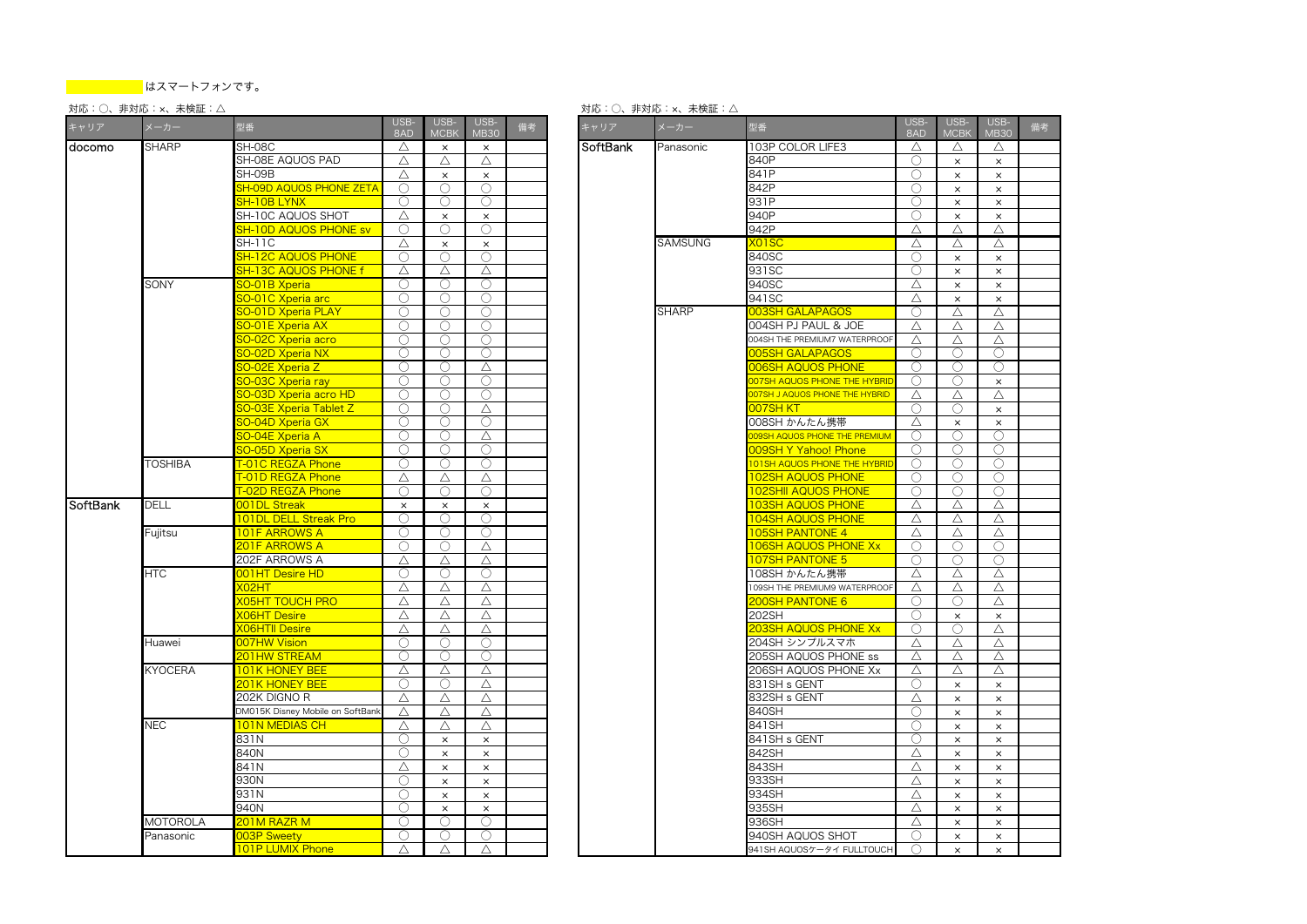# 対応:○、非対応:×、未検証:△

| キャリア     | メーカー            | 型番                               | USB-<br>8AD         | USB-<br><b>MCB</b> | USB-<br><b>MB30</b> | 備考 | キャリア     | メーカー         | 型番                                   | USB-<br>8AD         | USB-<br><b>MCBK</b>  | <b>USE</b><br>MB3                 |
|----------|-----------------|----------------------------------|---------------------|--------------------|---------------------|----|----------|--------------|--------------------------------------|---------------------|----------------------|-----------------------------------|
| docomo   | <b>SHARP</b>    | SH-08C                           | Δ                   | $\times$           | $\times$            |    | SoftBank | Panasonic    | 103P COLOR LIFE3                     | Δ                   | Δ                    | $\triangle$                       |
|          |                 | SH-08E AQUOS PAD                 | Δ                   | $\triangle$        | Δ                   |    |          |              | 840P                                 | ∩                   | $\times$             | $\mathsf{x}$                      |
|          |                 | SH-09B                           | Δ                   | $\times$           | $\times$            |    |          |              | 841P                                 | ∩                   | $\times$             | $\boldsymbol{\times}$             |
|          |                 | <b>SH-09D AQUOS PHONE ZETA</b>   | $\circlearrowright$ | $\bigcirc$         | $\circlearrowright$ |    |          |              | 842P                                 | $\circlearrowright$ | $\times$             | $\times$                          |
|          |                 | <b>SH-10B LYNX</b>               | ∩                   | ∩                  | ∩                   |    |          |              | 931P                                 | ∩                   | $\times$             | $\boldsymbol{\times}$             |
|          |                 | SH-10C AQUOS SHOT                | Δ                   | $\times$           | $\times$            |    |          |              | 940P                                 | О                   | $\times$             | $\times$                          |
|          |                 | SH-10D AQUOS PHONE sv            | 0                   | ◯                  | ∩                   |    |          |              | 942P                                 | Δ                   | Δ                    | $\triangle$                       |
|          |                 | <b>SH-11C</b>                    | Δ                   | $\times$           | $\times$            |    |          | SAMSUNG      | <b>XO1SC</b>                         | Δ                   | Δ                    | $\triangle$                       |
|          |                 | <b>SH-12C AQUOS PHONE</b>        | Ο                   | $\bigcirc$         | $\bigcirc$          |    |          |              | 840SC                                | 0                   | $\times$             | $\times$                          |
|          |                 | <b>SH-13C AQUOS PHONE f</b>      | Δ                   | Δ                  | Δ                   |    |          |              | 931SC                                | 0                   | $\times$             | $\times$                          |
|          | <b>SONY</b>     | 60-01B Xperia                    | O                   | ()                 | O                   |    |          |              | 940SC                                | Δ                   | $\times$             | $\times$                          |
|          |                 | 60-01C Xperia arc                | 0                   | $\bigcirc$         | $\bigcirc$          |    |          |              | 941SC                                | Δ                   | $\times$             | $\boldsymbol{\times}$             |
|          |                 | <b>SO-01D Xperia PLAY</b>        | Ω                   | $\bigcirc$         | O                   |    |          | <b>SHARP</b> | 003SH GALAPAGOS                      | O                   | Δ                    | $\triangle$                       |
|          |                 | <b>60-01E Xperia AX</b>          | Ω                   | $\bigcirc$         | O                   |    |          |              | 004SH PJ PAUL & JOE                  | Δ                   | Δ                    | △                                 |
|          |                 | 60-02C Xperia acro               | Ο                   | $\bigcirc$         | ∩                   |    |          |              | 004SH THE PREMIUM7 WATERPROOF        | Δ                   | Δ                    | △                                 |
|          |                 | <b>60-02D Xperia NX</b>          | O                   | ◯                  | $\bigcirc$          |    |          |              | 005SH GALAPAGOS                      | ◯                   | ○                    | $\subset$                         |
|          |                 | <b>SO-02E Xperia Z</b>           | Ο                   | $\bigcirc$         | Δ                   |    |          |              | <b>006SH AQUOS PHONE</b>             | 0                   | O                    | C                                 |
|          |                 | 60-03C Xperia ray                | ∩                   | $\bigcirc$         | ∩                   |    |          |              | 007SH AQUOS PHONE THE HYBRII         | ∩                   | ◯                    | $\boldsymbol{\times}$             |
|          |                 | 0-03D Xperia acro HD             | Ω                   | ∩                  | 0                   |    |          |              | 007SH J AQUOS PHONE THE HYBRID       | Δ                   | Δ                    | △                                 |
|          |                 | <b>60-03E Xperia Tablet Z</b>    | 0                   | $\bigcirc$         | Δ                   |    |          |              | 007SH KT                             | 0                   | ∩                    | $\times$                          |
|          |                 | <b>SO-04D Xperia GX</b>          | Ω                   | $\bigcirc$         | $\bigcirc$          |    |          |              | 008SH かんたん携帯                         | Δ                   | $\times$             | $\times$                          |
|          |                 | <b>60-04E Xperia A</b>           | Ω                   | $\bigcirc$         | Δ                   |    |          |              | <b>DO9SH AQUOS PHONE THE PREMIUM</b> | O                   | O                    | C                                 |
|          |                 | <b>SO-05D Xperia SX</b>          | Ο                   | ∩                  | Ω                   |    |          |              | 009SH Y Yahoo! Phone                 | O                   | O                    | C                                 |
|          | <b>TOSHIBA</b>  | T-01C REGZA Phone                | O                   | ∩                  | ∩                   |    |          |              | <b>101SH AQUOS PHONE THE HYBRI</b>   | ∩                   | ∩                    | C                                 |
|          |                 | <b>T-01D REGZA Phone</b>         | Δ                   | Δ                  | Δ                   |    |          |              | <b>102SH AQUOS PHONE</b>             | 0                   | Ο                    | C                                 |
|          |                 | T-02D REGZA Phone                | ∩                   | $\bigcirc$         | $\bigcirc$          |    |          |              | <b>102SHII AQUOS PHONE</b>           | ∩                   | ∩                    | C                                 |
| SoftBank | <b>DELL</b>     | <b>001DL Streak</b>              | $\times$            | $\times$           | $\times$            |    |          |              | <b>103SH AQUOS PHONE</b>             | Δ                   | Δ                    | △                                 |
|          |                 | <b>101DL DELL Streak Pro</b>     | ∩                   | ∩                  | ∩                   |    |          |              | 104SH AQUOS PHONE                    | Δ                   | Δ                    | $\triangle$                       |
|          | Fujitsu         | <b>101F ARROWS A</b>             | Ο                   | ∩                  | O                   |    |          |              | <b>105SH PANTONE 4</b>               | Δ                   | Δ                    | $\triangle$                       |
|          |                 | 201F ARROWS A                    | О                   | $\bigcirc$         | Δ                   |    |          |              | <b>106SH AQUOS PHONE Xx</b>          | О                   | $\bigcirc$           | C                                 |
|          |                 | 202F ARROWS A                    | Δ                   | $\triangle$        | $\triangle$         |    |          |              | 107SH PANTONE 5                      | ∩                   | ∩                    | C                                 |
|          | <b>HTC</b>      | <b>DO1HT Desire HD</b>           | O                   | 0                  | O                   |    |          |              | 108SH かんたん携帯                         | Δ                   | Δ                    | △                                 |
|          |                 | <b>XO2HT</b>                     | Δ                   | $\triangle$        | $\triangle$         |    |          |              | 109SH THE PREMIUM9 WATERPROOF        | $\triangle$         | Δ                    | $\triangle$                       |
|          |                 | <b>X05HT TOUCH PRO</b>           | Δ                   | Δ                  | Δ                   |    |          |              | 200SH PANTONE 6                      | Ο                   | ∩                    | $\triangle$                       |
|          |                 | <b>KO6HT Desire</b>              | Δ                   | Δ                  | Δ                   |    |          |              | 202SH                                | O                   | $\times$             | $\times$                          |
|          |                 | <b>KO6HTII Desire</b>            | Δ                   | $\triangle$        | Δ                   |    |          |              | <b>203SH AQUOS PHONE Xx</b>          | $\bigcirc$          | O                    | △                                 |
|          | Huawei          | 007HW Vision                     | Ο                   | $\bigcirc$         | $\bigcirc$          |    |          |              | 204SH シンプルスマホ                        | Δ                   | Δ                    | $\triangle$                       |
|          |                 | <b>201HW STREAM</b>              | ◯                   | $\bigcirc$         | ∩                   |    |          |              | 205SH AQUOS PHONE ss                 | Δ                   | Δ                    | $\triangle$                       |
|          | <b>KYOCERA</b>  | <b>101K HONEY BEE</b>            | Δ                   | Δ                  | Δ                   |    |          |              | 206SH AQUOS PHONE Xx                 | Δ                   | $\triangle$          | $\triangle$                       |
|          |                 | <b>201K HONEY BEE</b>            | O                   | $\left( \right)$   | Δ                   |    |          |              | 831SH s GENT                         | O                   | $\times$             | $\times$                          |
|          |                 | 202K DIGNO R                     | Δ                   | Δ                  | Δ                   |    |          |              | 832SH s GENT                         | Δ                   | $\times$             | $\boldsymbol{\times}$             |
|          |                 | DM015K Disney Mobile on SoftBank | Δ                   | $\triangle$        | Δ                   |    |          |              | 840SH                                | O                   | $\times$             | $\times$                          |
|          | <b>NEC</b>      | <b>101N MEDIAS CH</b>            | Δ                   | Δ                  | Δ                   |    |          |              | 841SH                                | O                   | $\times$             | $\boldsymbol{\times}$             |
|          |                 | 831N                             | Ο                   | $\times$           | $\times$            |    |          |              | 841SH s GENT                         | O                   | $\times$             | $\times$                          |
|          |                 | 840N                             | O                   | $\times$           | $\times$            |    |          |              | 842SH                                | Δ                   | $\times$             | $\boldsymbol{\times}$             |
|          |                 | 841N                             | Δ                   | $\times$           | $\times$            |    |          |              | 843SH                                | Δ                   | $\times$             | $\times$                          |
|          |                 | 930N                             | Ο                   | $\times$           | $\times$            |    |          |              | 933SH                                | Δ                   | $\times$             | $\boldsymbol{\times}$             |
|          |                 | 931N                             | Ο                   | $\times$           | $\times$            |    |          |              | 934SH                                | Δ                   | $\times$             | $\boldsymbol{\times}$             |
|          |                 | 940N                             | Ο                   | $\times$           | $\times$            |    |          |              | 935SH                                | Δ                   |                      | $\boldsymbol{\times}$             |
|          | <b>MOTOROLA</b> | 201M RAZR M                      | ∩                   | ∩                  | $\bigcirc$          |    |          |              | 936SH                                | Δ                   | $\times$             |                                   |
|          | Panasonic       | 003P Sweety                      | O                   | $\bigcirc$         | O                   |    |          |              | 940SH AQUOS SHOT                     | Ο                   | $\times$<br>$\times$ | $\times$<br>$\boldsymbol{\times}$ |
|          |                 |                                  |                     |                    |                     |    |          |              |                                      |                     |                      |                                   |

| USB-<br><b>MCBK</b> | USB-<br><b>MB30</b> | 備考 | キャリア     | メーカー           | 型番                                   | USB-<br>8AD | USB-<br><b>MCBK</b> | USB-<br><b>MB30</b>   |  |
|---------------------|---------------------|----|----------|----------------|--------------------------------------|-------------|---------------------|-----------------------|--|
| $\times$            | $\times$            |    | SoftBank | Panasonic      | 103P COLOR LIFE3                     | Δ           | Δ                   | Δ                     |  |
| Δ                   | Δ                   |    |          |                | 840P                                 | ∩           | $\times$            | $\times$              |  |
| $\times$            | $\times$            |    |          |                | 841P                                 | ∩           | $\times$            | $\times$              |  |
| Ω                   | Ο                   |    |          |                | 842P                                 | O           | $\times$            | $\times$              |  |
| ∩                   | ∩                   |    |          |                | 931P                                 | ∩           | $\times$            | $\boldsymbol{\times}$ |  |
| $\times$            | $\times$            |    |          |                | 940P                                 | O           | $\times$            | ×                     |  |
| O                   | Ο                   |    |          |                | 942P                                 | Δ           | Δ                   | Δ                     |  |
| $\times$            | $\times$            |    |          | <b>SAMSUNG</b> | <b>XO1SC</b>                         | Δ           | Δ                   | Δ                     |  |
| Ο                   | $\bigcirc$          |    |          |                | 840SC                                | O           | ×                   | ×                     |  |
| Δ                   | Δ                   |    |          |                | 931SC                                | ∩           | $\times$            | $\times$              |  |
| Ω                   | $\bigcirc$          |    |          |                | 940SC                                | Δ           | $\times$            | ×                     |  |
| ∩                   | ∩                   |    |          |                | 941SC                                | Δ           | $\times$            | $\times$              |  |
| ()                  | ◯                   |    |          | <b>SHARP</b>   | 003SH GALAPAGOS                      | ()          | Δ                   | Δ                     |  |
| O                   | 0                   |    |          |                | 004SH PJ PAUL & JOE                  | Δ           | Δ                   | Δ                     |  |
|                     | ∩                   |    |          |                | 004SH THE PREMIUM7 WATERPROOF        | Δ           | Δ                   | Δ                     |  |
| Ω                   | $\bigcirc$          |    |          |                | 005SH GALAPAGOS                      | O           | O                   | О                     |  |
| ∩                   |                     |    |          |                |                                      | ∩           | ∩                   | ∩                     |  |
|                     | Δ                   |    |          |                | <b>006SH AQUOS PHONE</b>             |             |                     |                       |  |
| ()                  | ◯                   |    |          |                | <b>DO7SH AQUOS PHONE THE HYBRID</b>  | ○           | ○                   | $\times$              |  |
| ∩                   | 0                   |    |          |                | 007SH J AQUOS PHONE THE HYBRID       | Δ           | Δ                   | Δ                     |  |
| ∩                   | Δ                   |    |          |                | 007SH KT                             | ∩           | ∩                   | $\times$              |  |
| ∩                   | $\bigcirc$          |    |          |                | 008SH かんたん携帯                         | Δ           | $\times$            | $\times$              |  |
| ∩                   | Δ                   |    |          |                | <b>DO9SH AQUOS PHONE THE PREMIUM</b> | ∩           | ∩                   | Ω                     |  |
| ()                  | O                   |    |          |                | 009SH Y Yahoo! Phone                 | O           | O                   | O                     |  |
| ∩                   | 0                   |    |          |                | <b>101SH AQUOS PHONE THE HYBRID</b>  | ∩           | ∩                   | 0                     |  |
| Δ                   | Δ                   |    |          |                | <b>102SH AQUOS PHONE</b>             | ∩           | ∩                   | 0                     |  |
| ∩                   | ∩                   |    |          |                | <b>102SHII AQUOS PHONE</b>           | O           | O                   | O                     |  |
| $\times$            | $\times$            |    |          |                | <b>103SH AQUOS PHONE</b>             | Δ           | Δ                   | Δ                     |  |
| ∩                   | ∩                   |    |          |                | <b>104SH AQUOS PHONE</b>             | Δ           | Δ                   | Δ                     |  |
| Ω                   | 0                   |    |          |                | <b>105SH PANTONE 4</b>               | Δ           | Δ                   | Δ                     |  |
| ∩                   | Δ                   |    |          |                | <b>106SH AQUOS PHONE Xx</b>          | ∩           | ∩                   | $\bigcirc$            |  |
| Δ                   | Δ                   |    |          |                | <b>107SH PANTONE 5</b>               | ∩           | O                   | O                     |  |
| ∩                   | ∩                   |    |          |                | 108SH かんたん携帯                         | Δ           | Δ                   | Δ                     |  |
| Δ                   | Δ                   |    |          |                | 109SH THE PREMIUM9 WATERPROOF        | Δ           | Δ                   | Δ                     |  |
| Δ                   | Δ                   |    |          |                | 200SH PANTONE 6                      | ∩           | ∩                   | Δ                     |  |
| Δ                   | Δ                   |    |          |                | 202SH                                | ○           | $\times$            | $\times$              |  |
| Δ                   | Δ                   |    |          |                | 203SH AQUOS PHONE Xx                 | ∩           | ○                   | Δ                     |  |
| ∩                   | ∩                   |    |          |                | 204SH シンプルスマホ                        | Δ           | Δ                   | Δ                     |  |
|                     | ∩                   |    |          |                | 205SH AQUOS PHONE ss                 | Δ           | Δ                   | Δ                     |  |
| Δ                   | Δ                   |    |          |                | 206SH AQUOS PHONE Xx                 | Δ           | Δ                   | Δ                     |  |
| O                   | Δ                   |    |          |                | 831SH s GENT                         | O           | ×                   | $\times$              |  |
| Δ                   | Δ                   |    |          |                | 832SH s GENT                         | Δ           | $\times$            | $\times$              |  |
| Δ                   | Δ                   |    |          |                | 840SH                                | ∩           | $\times$            | $\times$              |  |
| Δ                   |                     |    |          |                | 841 SH                               | ∩           |                     |                       |  |
|                     | Δ                   |    |          |                | 841SH s GENT                         | ∩           | $\times$            | ×                     |  |
| $\times$            | $\times$            |    |          |                |                                      |             | $\times$            | $\times$              |  |
| $\times$            | $\times$            |    |          |                | 842SH                                | Δ           | $\times$            | $\times$              |  |
| $\times$            | $\times$            |    |          |                | 843SH                                | Δ           | $\times$            | $\times$              |  |
| $\times$            | $\times$            |    |          |                | 933SH                                | Δ           | $\times$            | $\times$              |  |
| $\times$            | $\times$            |    |          |                | 934SH                                | Δ           | $\times$            | $\times$              |  |
| $\times$            | $\times$            |    |          |                | 935SH                                | Δ           | $\times$            | $\times$              |  |
| ∩                   | ∩                   |    |          |                | 936SH                                | Δ           | $\times$            | $\times$              |  |
| ∩                   | ∩                   |    |          |                | 940SH AQUOS SHOT                     | ○           | $\times$            | $\times$              |  |
| Δ                   | Δ                   |    |          |                | 941SH AQUOSケータイ FULLTOUCH            | ◯           | $\times$            | $\times$              |  |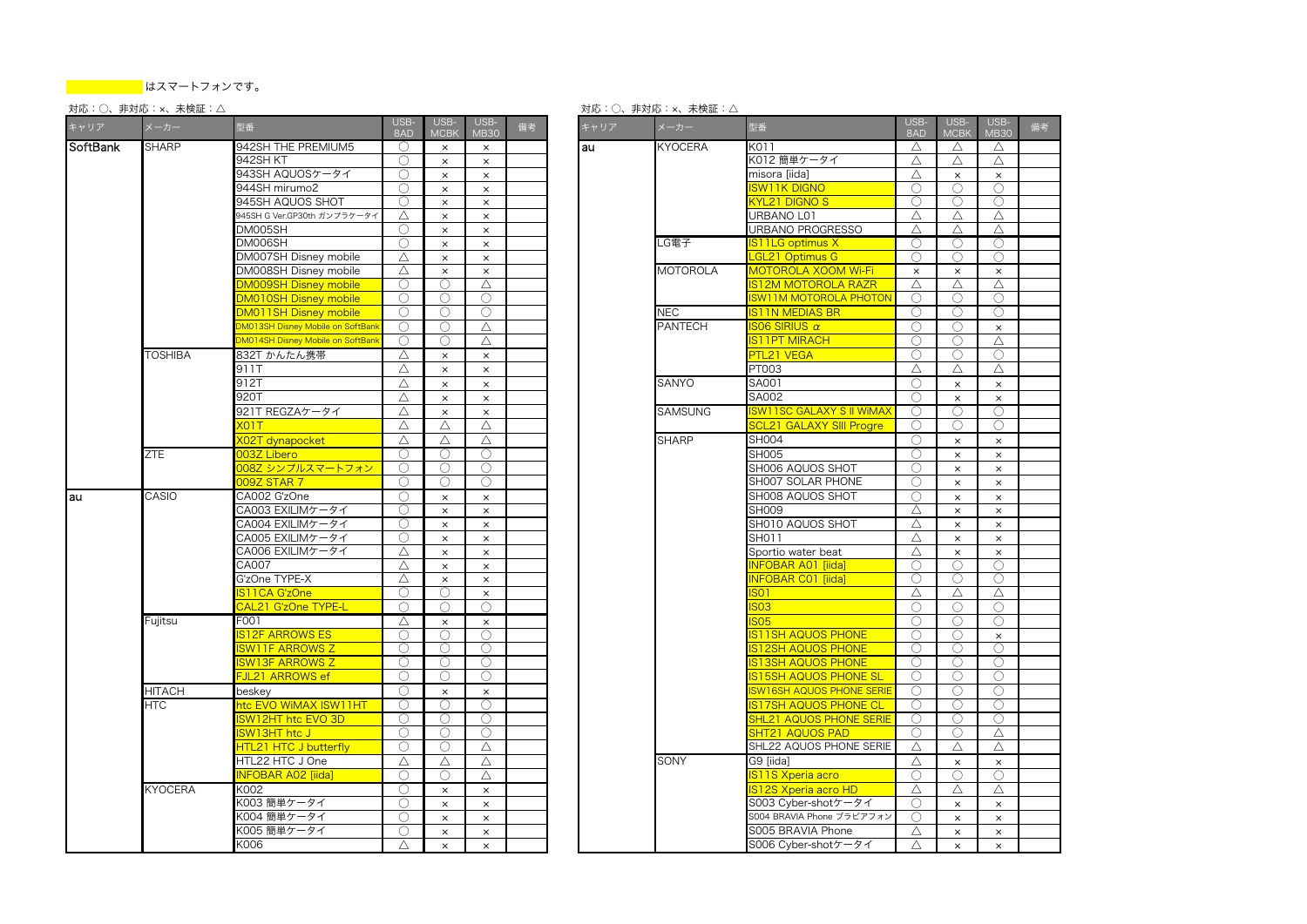# 対応:○、非対応:×、未検証:△

| キャリア     | メーカー           | 型番                                       | USB-<br>8AD | USB-<br><b>MCBK</b> | USB-<br><b>MB30</b>   | 備考 |  | キャリア | メーカー            | 型番                                    | USB-<br>8AD | USB-<br><b>MCBK</b> | <b>USE</b><br>MB3          |
|----------|----------------|------------------------------------------|-------------|---------------------|-----------------------|----|--|------|-----------------|---------------------------------------|-------------|---------------------|----------------------------|
| SoftBank | <b>SHARP</b>   | 942SH THE PREMIUM5                       | ∩           | $\times$            | $\times$              |    |  | lau  | <b>KYOCERA</b>  | K011                                  | Δ           | Δ                   | $\triangle$                |
|          |                | 942SH KT                                 | ∩           | $\times$            | $\times$              |    |  |      |                 | K012 簡単ケータイ                           | Δ           | Δ                   | $\triangle$                |
|          |                | 943SH AQUOSケータイ                          | O           | $\times$            | $\times$              |    |  |      |                 | misora [iida]                         | Δ           | $\times$            | $\times$                   |
|          |                | 944SH mirumo2                            | ∩           | $\times$            | $\times$              |    |  |      |                 | <b>SW11K DIGNO</b>                    | ∩           | O                   | $\bigcirc$                 |
|          |                | 945SH AQUOS SHOT                         | ∩           | $\times$            | $\times$              |    |  |      |                 | <b>KYL21 DIGNO S</b>                  | ∩           | ∩                   | $\mathbb C$                |
|          |                | 945SH G Ver.GP30th ガンプラケータイ              | Δ           | $\times$            | $\times$              |    |  |      |                 | URBANO L01                            | Δ           | Δ                   | △                          |
|          |                | DM005SH                                  | O           | $\times$            | $\times$              |    |  |      |                 | URBANO PROGRESSO                      | Δ           | Δ                   | $\triangle$                |
|          |                | DM006SH                                  | ∩           | $\times$            | $\times$              |    |  |      | LG電子            | S11LG optimus X                       | ∩           | ()                  | C                          |
|          |                | DM007SH Disney mobile                    | Δ           | $\times$            | $\times$              |    |  |      |                 | <b>GL21 Optimus G</b>                 | $\bigcirc$  | 0                   | C                          |
|          |                | DM008SH Disney mobile                    | Δ           | $\times$            | $\times$              |    |  |      | <b>MOTOROLA</b> | MOTOROLA XOOM Wi-Fi                   | $\times$    | $\times$            | $\times$                   |
|          |                | DM009SH Disney mobile                    | O           | $\bigcirc$          | Δ                     |    |  |      |                 | <b>S12M MOTOROLA RAZR</b>             | Δ           | Δ                   | $\triangle$                |
|          |                | <b>DM010SH Disney mobile</b>             | Ο           | ∩                   | ∩                     |    |  |      |                 | <b>SW11M MOTOROLA PHOTON</b>          | ∩           | ◯                   | C                          |
|          |                | DM011SH Disney mobile                    | ∩           | ∩                   | $\bigcirc$            |    |  |      | <b>NEC</b>      | <b>S11N MEDIAS BR</b>                 | ∩           | ()                  | C                          |
|          |                | <b>DM013SH Disney Mobile on SoftBank</b> | 0           | $\bigcirc$          | Δ                     |    |  |      | <b>PANTECH</b>  | <b>SO6 SIRIUS <math>\alpha</math></b> | $\bigcirc$  | O                   | $\times$                   |
|          |                | <b>M014SH Disney Mobile on SoftBanl</b>  | $\bigcirc$  | $\bigcirc$          | $\triangle$           |    |  |      |                 | <b>S11PT MIRACH</b>                   | $\bigcirc$  | Ω                   | $\triangle$                |
|          | TOSHIBA        | 832T かんたん携帯                              | Δ           | $\times$            | $\times$              |    |  |      |                 | PTL21 VEGA                            | $\bigcirc$  | O                   | C                          |
|          |                | 911T                                     | Δ           | $\times$            | $\times$              |    |  |      |                 | PT003                                 | Δ           | Δ                   | $\triangle$                |
|          |                | 912T                                     | Δ           | $\times$            | $\times$              |    |  |      | SANYO           | SA001                                 | $\bigcirc$  | $\times$            | $\boldsymbol{\times}$      |
|          |                | 920T                                     | Δ           | $\times$            | $\boldsymbol{\times}$ |    |  |      |                 | SA002                                 | $\bigcirc$  | $\times$            |                            |
|          |                | 921T REGZAケータイ                           | Δ           |                     |                       |    |  |      | <b>SAMSUNG</b>  | <b>SW11SC GALAXY S II WIMAX</b>       | ∩           |                     | $\boldsymbol{\times}$<br>C |
|          |                |                                          |             | $\times$            | $\times$              |    |  |      |                 |                                       | $\bigcirc$  | ()                  |                            |
|          |                | $K$ 01 $T$                               | Δ           | $\triangle$         | Δ                     |    |  |      |                 | <b>SCL21 GALAXY SIII Progre</b>       |             | Ω                   | $\bigcirc$                 |
|          |                | <b>KO2T</b> dynapocket                   | Δ           | $\triangle$         | Δ                     |    |  |      | <b>SHARP</b>    | <b>SH004</b>                          | $\bigcirc$  | $\times$            | $\times$                   |
|          | ZTE            | 003Z Libero                              | 0           | $\bigcirc$          | $\bigcirc$            |    |  |      |                 | <b>SH005</b>                          | $\bigcirc$  | $\times$            | $\times$                   |
|          |                | 008Z シンプルスマートフォン                         | $\bigcirc$  | $\bigcirc$          | $\bigcirc$            |    |  |      |                 | SH006 AQUOS SHOT                      | $\bigcirc$  | $\times$            | $\mathsf{x}$               |
|          |                | <b>092 STAR 7</b>                        | ∩           | ∩                   | ∩                     |    |  |      |                 | SH007 SOLAR PHONE                     | ∩           | $\times$            | $\boldsymbol{\times}$      |
| lau      | CASIO          | CA002 G'zOne                             | 0           | $\times$            | $\times$              |    |  |      |                 | SH008 AQUOS SHOT                      | ∩           | $\times$            | $\boldsymbol{\times}$      |
|          |                | CA003 EXILIMケータイ                         | Ω           | $\times$            | $\times$              |    |  |      |                 | SH009                                 | Δ           | $\times$            | $\times$                   |
|          |                | CA004 EXILIMケータイ                         | 0           | $\times$            | $\times$              |    |  |      |                 | SH010 AQUOS SHOT                      | Δ           | $\times$            | $\times$                   |
|          |                | CA005 EXILIMケータイ                         | ∩           | $\times$            | $\times$              |    |  |      |                 | SH011                                 | Δ           | $\times$            | $\times$                   |
|          |                | CA006 EXILIMケータイ                         | Δ           | $\times$            | $\times$              |    |  |      |                 | Sportio water beat                    | Δ           | $\times$            | $\times$                   |
|          |                | CA007                                    | Δ           | $\times$            | $\boldsymbol{\times}$ |    |  |      |                 | NFOBAR A01 [iida]                     | ∩           | ∩                   | C                          |
|          |                | G'zOne TYPE-X                            | Δ           | $\times$            | $\times$              |    |  |      |                 | NFOBAR C01 [iida]                     | O           | O                   | C                          |
|          |                | S11CA G'zOne                             | ∩           | $\bigcirc$          | $\times$              |    |  |      |                 | S <sub>01</sub>                       | Δ           | Δ                   | $\triangle$                |
|          |                | CAL21 G'zOne TYPE-L                      | ∩           | ∩                   | ∩                     |    |  |      |                 | S <sub>03</sub>                       | ∩           | $\bigcirc$          | $\mathbb{C}$               |
|          | Fujitsu        | F001                                     | Δ           | $\times$            | $\times$              |    |  |      |                 | S <sub>05</sub>                       | ∩           | ∩                   | C                          |
|          |                | S12F ARROWS ES                           | 0           | ∩                   | Ω                     |    |  |      |                 | <b>S11SH AQUOS PHONE</b>              | ∩           | ∩                   | $\times$                   |
|          |                | SW11F ARROWS Z                           | ∩           | 0                   | Ω                     |    |  |      |                 | <b>S12SH AQUOS PHONE</b>              | 0           | O                   | C                          |
|          |                | SW13F ARROWS Z                           | 0           | $\bigcirc$          | 0                     |    |  |      |                 | <b>S13SH AQUOS PHONE</b>              | $\bigcirc$  | Ω                   | $\subset$                  |
|          |                | <u> JL21 ARROWS ef</u>                   | ∩           | $\bigcirc$          | O                     |    |  |      |                 | S15SH AQUOS PHONE SL                  | $\bigcirc$  | O                   | C                          |
|          | <b>HITACH</b>  | beskey                                   | ∩           | $\times$            | $\times$              |    |  |      |                 | <b>SW16SH AQUOS PHONE SERIE</b>       | $\bigcirc$  | 0                   | C                          |
|          | HTC            | ntc EVO WiMAX ISW11HT                    | ∩           | ∩                   | ∩                     |    |  |      |                 | <b>S17SH AQUOS PHONE CL</b>           | $\bigcirc$  | ∩                   | C                          |
|          |                | SW12HT htc EVO 3D                        | O           | $\bigcirc$          | Ω                     |    |  |      |                 | SHL21 AQUOS PHONE SERIE               | O           | O                   | C                          |
|          |                | SW13HT htc J                             | ∩           | $\bigcirc$          | ∩                     |    |  |      |                 | SHT21 AQUOS PAD                       | ∩           | ∩                   | $\triangle$                |
|          |                | <b>HTL21 HTC J butterfly</b>             | ∩           | $\bigcirc$          | Δ                     |    |  |      |                 | SHL22 AQUOS PHONE SERIE               | Δ           | Δ                   | $\triangle$                |
|          |                | HTL22 HTC J One                          | Δ           | $\triangle$         | Δ                     |    |  |      | <b>SONY</b>     | G9 fiidal                             | $\triangle$ | $\times$            | $\times$                   |
|          |                | <b>NFOBAR A02 [iida]</b>                 | ∩           | $\bigcirc$          | Δ                     |    |  |      |                 | S11S Xperia acro                      | $\bigcirc$  | O                   | $\mathbb{C}$               |
|          | <b>KYOCERA</b> | K002                                     | O           | $\times$            | $\times$              |    |  |      |                 | S12S Xperia acro HD                   | Δ           | Δ                   | $\triangle$                |
|          |                | 〈003 簡単ケータイ                              | O           | $\times$            | $\times$              |    |  |      |                 | S003 Cyber-shotケータイ                   | O           | $\times$            | $\boldsymbol{\mathsf{x}}$  |
|          |                | 〈004 簡単ケータイ                              | ∩           | $\times$            |                       |    |  |      |                 | S004 BRAVIA Phone ブラビアフォン             | $\bigcirc$  | $\times$            |                            |
|          |                | K005 簡単ケータイ                              | 0           | $\times$            | $\times$<br>$\times$  |    |  |      |                 | S005 BRAVIA Phone                     | Δ           | $\times$            | $\boldsymbol{\times}$      |
|          |                |                                          |             |                     |                       |    |  |      |                 |                                       |             |                     | $\times$                   |
|          |                | K006                                     | Δ           | $\times$            | $\boldsymbol{\times}$ |    |  |      |                 | S006 Cyber-shotケータイ                   | $\triangle$ | $\times$            | $\mathsf{x}$               |

| 型番                                | USB-<br>8AD | USB-<br><b>MCBK</b> | USB-<br><b>MB30</b> | 備考 | キャリア | メーカー            | 型番                              | USB-<br>8AD | USB-<br><b>MCBK</b> | USB-<br><b>MB30</b> | 備考 |
|-----------------------------------|-------------|---------------------|---------------------|----|------|-----------------|---------------------------------|-------------|---------------------|---------------------|----|
| 942SH THE PREMIUM5                | ∩           | $\times$            | $\times$            |    | au   | <b>KYOCERA</b>  | K011                            | Δ           | Δ                   | Δ                   |    |
| 942SH KT                          | ∩           | $\times$            | $\times$            |    |      |                 | K012 簡単ケータイ                     | Δ           | Δ                   | Δ                   |    |
| 943SH AQUOSケータイ                   | ○           | $\times$            | $\times$            |    |      |                 | misora [iida]                   | Δ           | $\times$            | $\times$            |    |
| 944SH mirumo2                     | O           | $\times$            | $\times$            |    |      |                 | <b>SW11K DIGNO</b>              | ∩           | O                   | Ο                   |    |
| 945SH AQUOS SHOT                  | ∩           | $\times$            | $\times$            |    |      |                 | <b>KYL21 DIGNO S</b>            | ∩           | ∩                   | ∩                   |    |
| 945SH G Ver.GP30th ガンプラケータイ       | Δ           | $\times$            | $\times$            |    |      |                 | JRBANO L01                      | Δ           | Δ                   | Δ                   |    |
| DM005SH                           | ∩           | $\times$            | $\times$            |    |      |                 | URBANO PROGRESSO                | Δ           | Δ                   | Δ                   |    |
| DM006SH                           | ○           | $\times$            | $\times$            |    |      | LG電子            | S11LG optimus X                 | $\bigcirc$  | ◯                   | $\bigcirc$          |    |
| DM007SH Disney mobile             | Δ           | $\times$            | $\times$            |    |      |                 | <b>GL21 Optimus G</b>           | ∩           | O                   | ∩                   |    |
| DM008SH Disney mobile             | Δ           | $\times$            | $\times$            |    |      | <b>MOTOROLA</b> | <b>MOTOROLA XOOM Wi-Fi</b>      | $\times$    | $\times$            | $\times$            |    |
| <b>DM009SH Disney mobile</b>      | ∩           | ∩                   | Δ                   |    |      |                 | <b>S12M MOTOROLA RAZR</b>       | Δ           | Δ                   | Δ                   |    |
| <b>DM010SH Disney mobile</b>      | ∩           | ∩                   | $\bigcirc$          |    |      |                 | <u>SW11M MOTOROLA PHOTON</u>    | ∩           | ∩                   | $\bigcirc$          |    |
| <b>DM011SH Disney mobile</b>      | O           | O                   | $\bigcirc$          |    |      | <b>NEC</b>      | <u>S11N MEDIAS BR</u>           | ◯           | ◯                   | ∩                   |    |
| DM013SH Disney Mobile on SoftBank | ○           | ∩                   | Δ                   |    |      | <b>PANTECH</b>  | SO6 SIRIUS $\alpha$             | ( )         | ◯                   | $\times$            |    |
| DM014SH Disney Mobile on SoftBank | ∩           | ∩                   | Δ                   |    |      |                 | <b>S11PT MIRACH</b>             | ∩           | O                   | Δ                   |    |
| 832T かんたん携帯                       | Δ           | $\times$            | $\times$            |    |      |                 | PTL21 VEGA                      | ∩           | O                   | $\bigcirc$          |    |
| 911T                              | Δ           | $\times$            | $\times$            |    |      |                 | PT003                           | Δ           | Δ                   | Δ                   |    |
| 912T                              | Δ           | $\times$            | $\times$            |    |      | SANYO           | SA001                           | ∩           | $\times$            | $\times$            |    |
| 920T                              | Δ           | $\times$            | $\times$            |    |      |                 | SA002                           | ∩           | $\times$            | $\times$            |    |
| 921T REGZAケータイ                    | Δ           | $\times$            | $\times$            |    |      | <b>SAMSUNG</b>  | ISW11SC GALAXY S II WiMAX       | O           | O                   | O                   |    |
| <u> X01T</u>                      | Δ           | Δ                   | Δ                   |    |      |                 | <b>SCL21 GALAXY SIII Progre</b> | ∩           | ∩                   | $\bigcirc$          |    |
| X02T dynapocket                   | Δ           | Δ                   | Δ                   |    |      | <b>SHARP</b>    | SH004                           | $\bigcirc$  | $\times$            | $\times$            |    |
| 003Z Libero                       | ○           | $\bigcirc$          | ∩                   |    |      |                 | <b>SH005</b>                    | ∩           | $\times$            | $\times$            |    |
| 008Z シンプルスマートフォン                  | ∩           | ∩                   | ∩                   |    |      |                 | SH006 AQUOS SHOT                | ∩           | $\times$            | $\times$            |    |
| 009Z STAR 7                       | ∩           | ∩                   | $\bigcirc$          |    |      |                 | SH007 SOLAR PHONE               | ∩           | $\times$            | $\times$            |    |
| CA002 G'zOne                      | ∩           | $\times$            | $\times$            |    |      |                 | SH008 AQUOS SHOT                | ∩           | $\times$            | $\pmb{\times}$      |    |
| CA003 EXILIMケータイ                  | ∩           | $\times$            | $\times$            |    |      |                 | <b>SH009</b>                    | Δ           | $\times$            | $\times$            |    |
| CA004 EXILIMケータイ                  | ∩           | $\times$            | $\times$            |    |      |                 | SH010 AQUOS SHOT                | Δ           | $\times$            | $\times$            |    |
| CA005 EXILIMケータイ                  | ()          | $\times$            | $\times$            |    |      |                 | SHO11                           | Δ           | $\times$            | $\times$            |    |
| CA006 EXILIMケータイ                  | Δ           | $\times$            | $\times$            |    |      |                 | Sportio water beat              | Δ           | $\times$            | $\times$            |    |
| CA007                             | Δ           | $\times$            | $\times$            |    |      |                 | NFOBAR A01 [iida]               | ∩           | ∩                   | $\bigcirc$          |    |
| G'zOne TYPE-X                     | Δ           | $\times$            | $\times$            |    |      |                 | <b>NFOBAR C01 fiidal</b>        | ∩           | ∩                   | 0                   |    |
| <u>IS11CA G'zOne</u>              | ∩           | ∩                   | $\times$            |    |      |                 | <b>SO1</b>                      | Δ           | Δ                   | Δ                   |    |
| CAL21 G'zOne TYPE-L               | ○           | ○                   | Ω                   |    |      |                 | S <sub>03</sub>                 | ◯           | O                   | O                   |    |
| F001                              | Δ           | $\times$            | $\times$            |    |      |                 | S <sub>05</sub>                 | ∩           | ∩                   | ∩                   |    |
| <b>IS12F ARROWS ES</b>            | 0           | ∩                   | ∩                   |    |      |                 | <b>S11SH AQUOS PHONE</b>        | ()          | ()                  | $\times$            |    |
| <u>ISW11F ARROWS Z</u>            | ∩           | Ο                   | $\bigcirc$          |    |      |                 | <u>S12SH AQUOS PHONE</u>        | ∩           | ∩                   | ∩                   |    |
| <b>ISW13F ARROWS Z</b>            | ∩           | ∩                   | $\bigcirc$          |    |      |                 | <b>S13SH AQUOS PHONE</b>        | ∩           | ∩                   | ∩                   |    |
| <b>FJL21 ARROWS ef</b>            | ∩           | ∩                   | ∩                   |    |      |                 | IS15SH AQUOS PHONE SL           | ∩           | ∩                   | $\bigcirc$          |    |
| beskey                            | ∩           | $\times$            | $\times$            |    |      |                 | <b>SW16SH AQUOS PHONE SERIE</b> | $\bigcirc$  | ∩                   | ∩                   |    |
| htc EVO WiMAX ISW11HT             | ◯           | $\bigcirc$          | $\bigcirc$          |    |      |                 | S17SH AQUOS PHONE CL            | $\bigcirc$  | ◯                   | ◯                   |    |
| <b>ISW12HT htc EVO 3D</b>         | Ω           | ∩                   | $\bigcirc$          |    |      |                 | <b>SHL21 AQUOS PHONE SERIE</b>  | ∩           | ∩                   | Ω                   |    |
| ISW13HT htc J                     | ○           | ○                   | ∩                   |    |      |                 | <b>SHT21 AQUOS PAD</b>          | ◯           | ○                   | Δ                   |    |
| <b>HTL21 HTC J butterfly</b>      | Ω           | Ο                   | Δ                   |    |      |                 | SHL22 AQUOS PHONE SERIE         | Δ           | Δ                   | Δ                   |    |
| HTL22 HTC J One                   | Δ           | Δ                   | Δ                   |    |      | SONY            | G9 [iida]                       | Δ           | $\times$            | $\times$            |    |
| <b>INFOBAR A02 [iida]</b>         | ∩           | ∩                   | Δ                   |    |      |                 | S11S Xperia acro                | ∩           | Ο                   | Ο                   |    |
| K002                              | ◯           | $\times$            | $\times$            |    |      |                 | <b>IS12S Xperia acro HD</b>     | Δ           | Δ                   | Δ                   |    |
| K003 簡単ケータイ                       | ○           | $\times$            | $\times$            |    |      |                 | S003 Cyber-shotケータイ             | ( )         | $\times$            | $\times$            |    |
| K004 簡単ケータイ                       | 0           | $\times$            | $\times$            |    |      |                 | S004 BRAVIA Phone ブラビアフォン       | ∩           | $\times$            | $\times$            |    |
| K005 簡単ケータイ                       | ∩           | $\times$            | $\times$            |    |      |                 | S005 BRAVIA Phone               | Δ           | $\times$            | $\times$            |    |
| K006                              | Δ           | $\times$            | $\times$            |    |      |                 | S006 Cvber-shotケータイ             | Δ           | $\times$            | $\times$            |    |